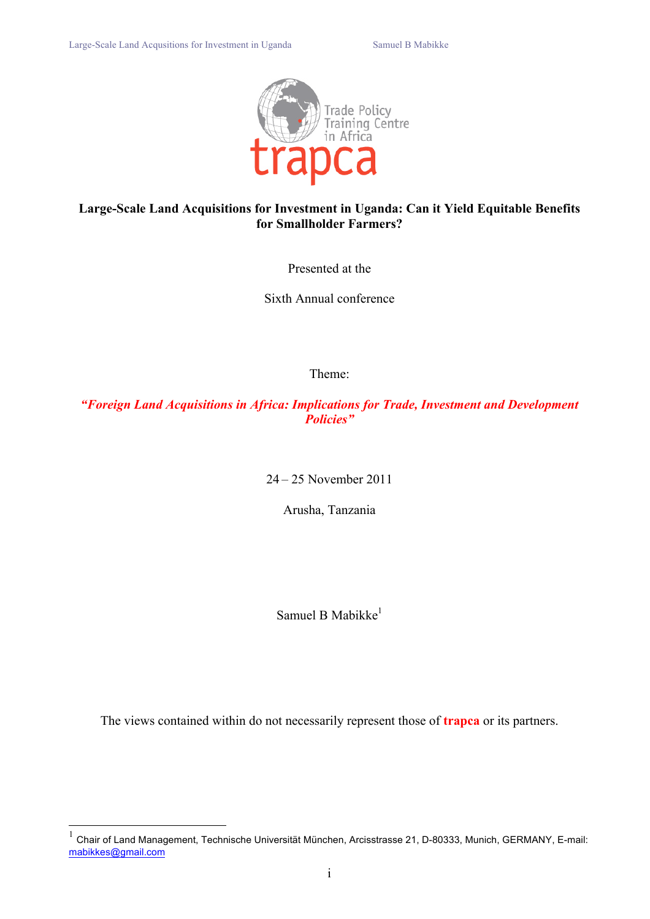

## **Large-Scale Land Acquisitions for Investment in Uganda: Can it Yield Equitable Benefits for Smallholder Farmers?**

Presented at the

Sixth Annual conference

Theme:

*"Foreign Land Acquisitions in Africa: Implications for Trade, Investment and Development Policies"*

24 – 25 November 2011

Arusha, Tanzania

Samuel B Mabikke $<sup>1</sup>$ </sup>

The views contained within do not necessarily represent those of **trapca** or its partners.

 $1$  Chair of Land Management, Technische Universität München, Arcisstrasse 21, D-80333, Munich, GERMANY, E-mail: mabikkes@gmail.com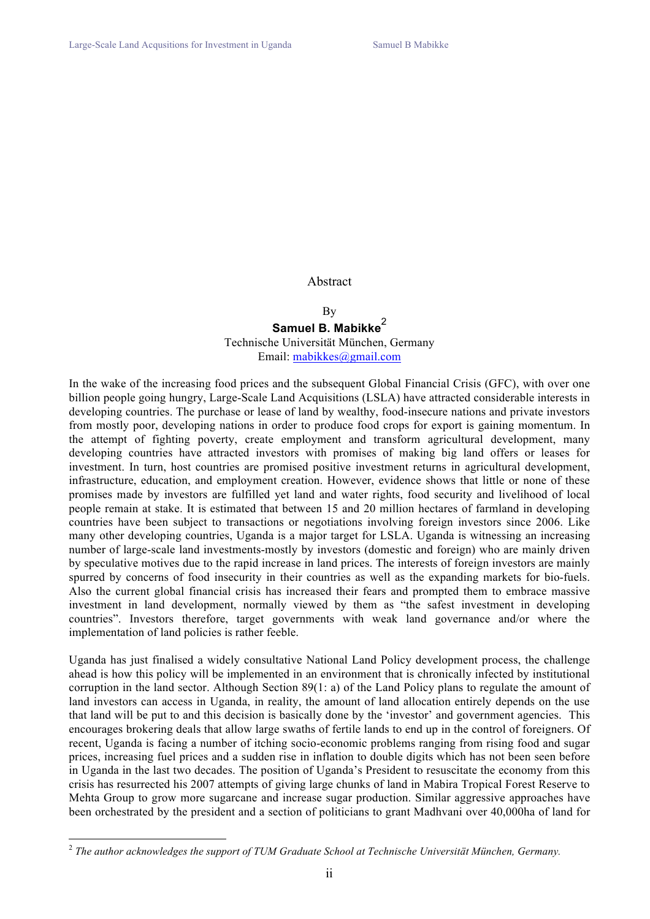#### Abstract

#### By Samuel B. Mabikke<sup>2</sup> Technische Universität München, Germany Email: mabikkes@gmail.com

In the wake of the increasing food prices and the subsequent Global Financial Crisis (GFC), with over one billion people going hungry, Large-Scale Land Acquisitions (LSLA) have attracted considerable interests in developing countries. The purchase or lease of land by wealthy, food-insecure nations and private investors from mostly poor, developing nations in order to produce food crops for export is gaining momentum. In the attempt of fighting poverty, create employment and transform agricultural development, many developing countries have attracted investors with promises of making big land offers or leases for investment. In turn, host countries are promised positive investment returns in agricultural development, infrastructure, education, and employment creation. However, evidence shows that little or none of these promises made by investors are fulfilled yet land and water rights, food security and livelihood of local people remain at stake. It is estimated that between 15 and 20 million hectares of farmland in developing countries have been subject to transactions or negotiations involving foreign investors since 2006. Like many other developing countries, Uganda is a major target for LSLA. Uganda is witnessing an increasing number of large-scale land investments-mostly by investors (domestic and foreign) who are mainly driven by speculative motives due to the rapid increase in land prices. The interests of foreign investors are mainly spurred by concerns of food insecurity in their countries as well as the expanding markets for bio-fuels. Also the current global financial crisis has increased their fears and prompted them to embrace massive investment in land development, normally viewed by them as "the safest investment in developing countries". Investors therefore, target governments with weak land governance and/or where the implementation of land policies is rather feeble.

Uganda has just finalised a widely consultative National Land Policy development process, the challenge ahead is how this policy will be implemented in an environment that is chronically infected by institutional corruption in the land sector. Although Section 89(1: a) of the Land Policy plans to regulate the amount of land investors can access in Uganda, in reality, the amount of land allocation entirely depends on the use that land will be put to and this decision is basically done by the 'investor' and government agencies. This encourages brokering deals that allow large swaths of fertile lands to end up in the control of foreigners. Of recent, Uganda is facing a number of itching socio-economic problems ranging from rising food and sugar prices, increasing fuel prices and a sudden rise in inflation to double digits which has not been seen before in Uganda in the last two decades. The position of Uganda's President to resuscitate the economy from this crisis has resurrected his 2007 attempts of giving large chunks of land in Mabira Tropical Forest Reserve to Mehta Group to grow more sugarcane and increase sugar production. Similar aggressive approaches have been orchestrated by the president and a section of politicians to grant Madhvani over 40,000ha of land for

 <sup>2</sup> *The author acknowledges the support of TUM Graduate School at Technische Universität München, Germany.*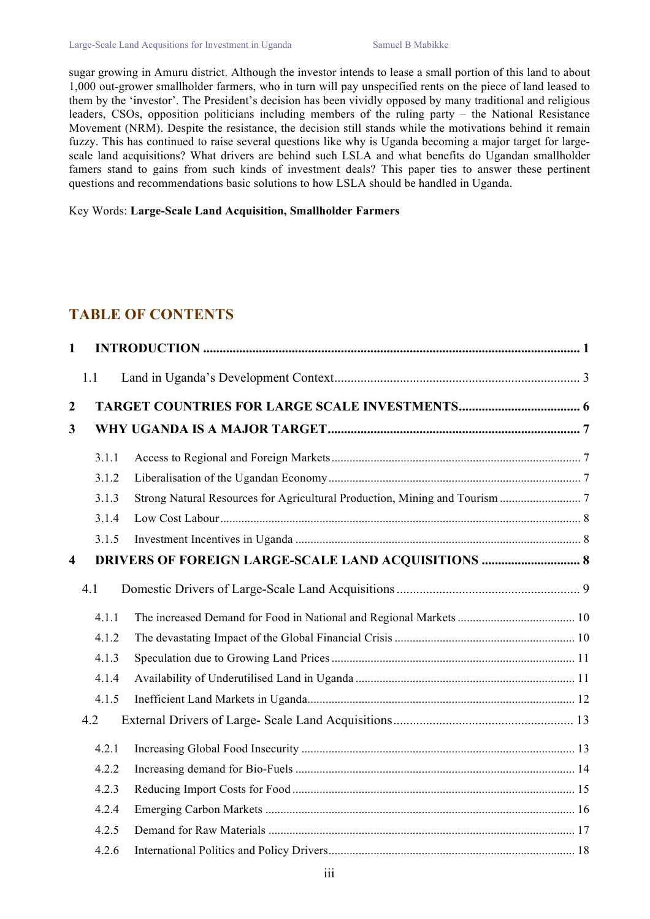sugar growing in Amuru district. Although the investor intends to lease a small portion of this land to about 1,000 out-grower smallholder farmers, who in turn will pay unspecified rents on the piece of land leased to them by the 'investor'. The President's decision has been vividly opposed by many traditional and religious leaders, CSOs, opposition politicians including members of the ruling party – the National Resistance Movement (NRM). Despite the resistance, the decision still stands while the motivations behind it remain fuzzy. This has continued to raise several questions like why is Uganda becoming a major target for largescale land acquisitions? What drivers are behind such LSLA and what benefits do Ugandan smallholder famers stand to gains from such kinds of investment deals? This paper ties to answer these pertinent questions and recommendations basic solutions to how LSLA should be handled in Uganda.

Key Words: **Large-Scale Land Acquisition, Smallholder Farmers**

## **TABLE OF CONTENTS**

| $\mathbf{1}$            |       |                                                            |  |
|-------------------------|-------|------------------------------------------------------------|--|
|                         | 1.1   |                                                            |  |
| $\boldsymbol{2}$        |       |                                                            |  |
| 3                       |       |                                                            |  |
|                         | 3.1.1 |                                                            |  |
|                         | 3.1.2 |                                                            |  |
|                         | 3.1.3 |                                                            |  |
|                         | 3.1.4 |                                                            |  |
|                         | 3.1.5 |                                                            |  |
| $\overline{\mathbf{4}}$ |       | <b>DRIVERS OF FOREIGN LARGE-SCALE LAND ACQUISITIONS  8</b> |  |
|                         | 4.1   |                                                            |  |
|                         | 4.1.1 |                                                            |  |
|                         | 4.1.2 |                                                            |  |
|                         | 4.1.3 |                                                            |  |
|                         | 4.1.4 |                                                            |  |
|                         | 4.1.5 |                                                            |  |
|                         | 4.2   |                                                            |  |
|                         | 4.2.1 |                                                            |  |
|                         | 4.2.2 |                                                            |  |
|                         | 4.2.3 |                                                            |  |
|                         | 4.2.4 |                                                            |  |
|                         | 4.2.5 |                                                            |  |
|                         | 4.2.6 |                                                            |  |
|                         |       |                                                            |  |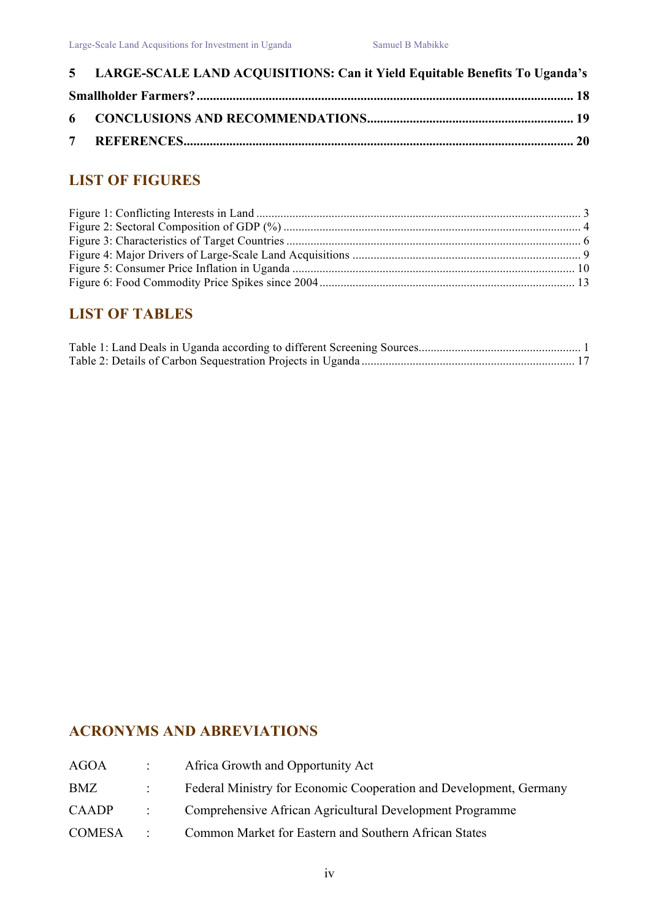| 5 LARGE-SCALE LAND ACQUISITIONS: Can it Yield Equitable Benefits To Uganda's |  |
|------------------------------------------------------------------------------|--|
|                                                                              |  |
|                                                                              |  |
|                                                                              |  |

# **LIST OF FIGURES**

# **LIST OF TABLES**

# **ACRONYMS AND ABREVIATIONS**

| <b>AGOA</b>   |                      | Africa Growth and Opportunity Act                                  |
|---------------|----------------------|--------------------------------------------------------------------|
| BMZ           |                      | Federal Ministry for Economic Cooperation and Development, Germany |
| <b>CAADP</b>  | $\sigma_{\rm{max}}$  | Comprehensive African Agricultural Development Programme           |
| <b>COMESA</b> | $\ddot{\phantom{0}}$ | Common Market for Eastern and Southern African States              |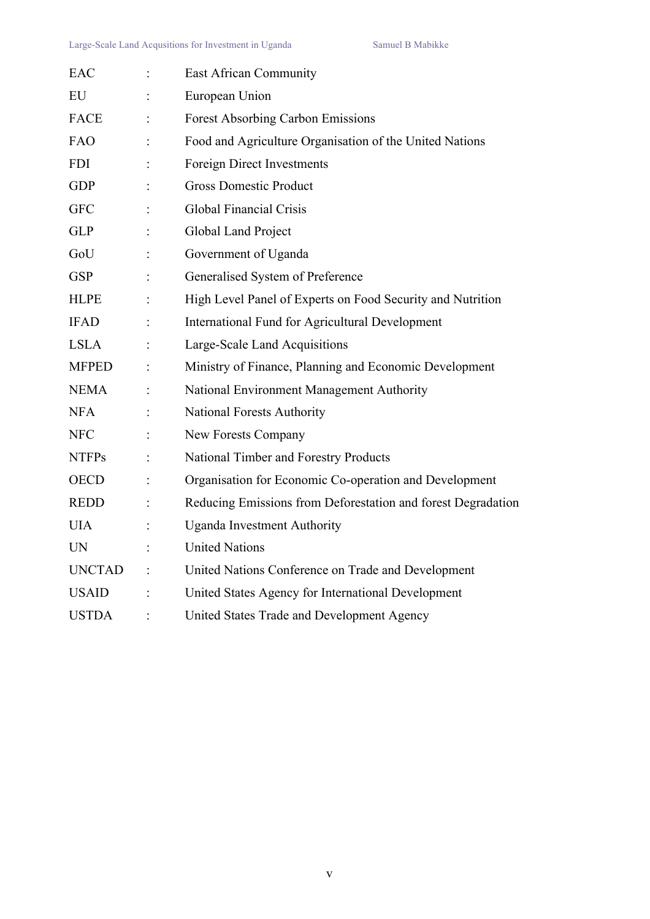| EAC           | <b>East African Community</b>                                |
|---------------|--------------------------------------------------------------|
| EU            | European Union                                               |
| <b>FACE</b>   | <b>Forest Absorbing Carbon Emissions</b>                     |
| FAO           | Food and Agriculture Organisation of the United Nations      |
| <b>FDI</b>    | <b>Foreign Direct Investments</b>                            |
| <b>GDP</b>    | <b>Gross Domestic Product</b>                                |
| <b>GFC</b>    | <b>Global Financial Crisis</b>                               |
| <b>GLP</b>    | Global Land Project                                          |
| GoU           | Government of Uganda                                         |
| <b>GSP</b>    | Generalised System of Preference                             |
| <b>HLPE</b>   | High Level Panel of Experts on Food Security and Nutrition   |
| <b>IFAD</b>   | International Fund for Agricultural Development              |
| <b>LSLA</b>   | Large-Scale Land Acquisitions                                |
| <b>MFPED</b>  | Ministry of Finance, Planning and Economic Development       |
| <b>NEMA</b>   | National Environment Management Authority                    |
| <b>NFA</b>    | <b>National Forests Authority</b>                            |
| <b>NFC</b>    | New Forests Company                                          |
| <b>NTFPs</b>  | National Timber and Forestry Products                        |
| <b>OECD</b>   | Organisation for Economic Co-operation and Development       |
| <b>REDD</b>   | Reducing Emissions from Deforestation and forest Degradation |
| <b>UIA</b>    | <b>Uganda Investment Authority</b>                           |
| <b>UN</b>     | <b>United Nations</b>                                        |
| <b>UNCTAD</b> | United Nations Conference on Trade and Development           |
| <b>USAID</b>  | United States Agency for International Development           |
| <b>USTDA</b>  | United States Trade and Development Agency                   |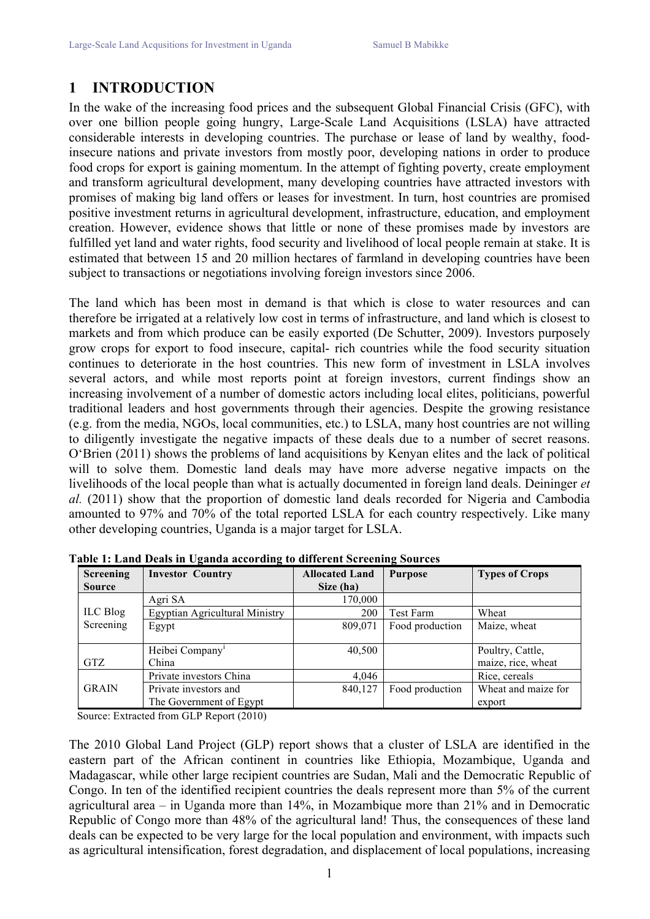# **1 INTRODUCTION**

In the wake of the increasing food prices and the subsequent Global Financial Crisis (GFC), with over one billion people going hungry, Large-Scale Land Acquisitions (LSLA) have attracted considerable interests in developing countries. The purchase or lease of land by wealthy, foodinsecure nations and private investors from mostly poor, developing nations in order to produce food crops for export is gaining momentum. In the attempt of fighting poverty, create employment and transform agricultural development, many developing countries have attracted investors with promises of making big land offers or leases for investment. In turn, host countries are promised positive investment returns in agricultural development, infrastructure, education, and employment creation. However, evidence shows that little or none of these promises made by investors are fulfilled yet land and water rights, food security and livelihood of local people remain at stake. It is estimated that between 15 and 20 million hectares of farmland in developing countries have been subject to transactions or negotiations involving foreign investors since 2006.

The land which has been most in demand is that which is close to water resources and can therefore be irrigated at a relatively low cost in terms of infrastructure, and land which is closest to markets and from which produce can be easily exported (De Schutter, 2009). Investors purposely grow crops for export to food insecure, capital- rich countries while the food security situation continues to deteriorate in the host countries. This new form of investment in LSLA involves several actors, and while most reports point at foreign investors, current findings show an increasing involvement of a number of domestic actors including local elites, politicians, powerful traditional leaders and host governments through their agencies. Despite the growing resistance (e.g. from the media, NGOs, local communities, etc.) to LSLA, many host countries are not willing to diligently investigate the negative impacts of these deals due to a number of secret reasons. O'Brien (2011) shows the problems of land acquisitions by Kenyan elites and the lack of political will to solve them. Domestic land deals may have more adverse negative impacts on the livelihoods of the local people than what is actually documented in foreign land deals. Deininger *et al.* (2011) show that the proportion of domestic land deals recorded for Nigeria and Cambodia amounted to 97% and 70% of the total reported LSLA for each country respectively. Like many other developing countries, Uganda is a major target for LSLA.

| Screening     | <b>Investor Country</b>        | <b>Allocated Land</b> | <b>Purpose</b>  | <b>Types of Crops</b> |
|---------------|--------------------------------|-----------------------|-----------------|-----------------------|
| <b>Source</b> |                                | Size (ha)             |                 |                       |
|               | Agri SA                        | 170,000               |                 |                       |
| ILC Blog      | Egyptian Agricultural Ministry | 200                   | Test Farm       | Wheat                 |
| Screening     | Egypt                          | 809,071               | Food production | Maize, wheat          |
|               |                                |                       |                 |                       |
|               | Heibei Company'                | 40,500                |                 | Poultry, Cattle,      |
| <b>GTZ</b>    | China                          |                       |                 | maize, rice, wheat    |
|               | Private investors China        | 4,046                 |                 | Rice, cereals         |
| <b>GRAIN</b>  | Private investors and          | 840,127               | Food production | Wheat and maize for   |
|               | The Government of Egypt        |                       |                 | export                |

**Table 1: Land Deals in Uganda according to different Screening Sources**

Source: Extracted from GLP Report (2010)

The 2010 Global Land Project (GLP) report shows that a cluster of LSLA are identified in the eastern part of the African continent in countries like Ethiopia, Mozambique, Uganda and Madagascar, while other large recipient countries are Sudan, Mali and the Democratic Republic of Congo. In ten of the identified recipient countries the deals represent more than 5% of the current agricultural area – in Uganda more than 14%, in Mozambique more than 21% and in Democratic Republic of Congo more than 48% of the agricultural land! Thus, the consequences of these land deals can be expected to be very large for the local population and environment, with impacts such as agricultural intensification, forest degradation, and displacement of local populations, increasing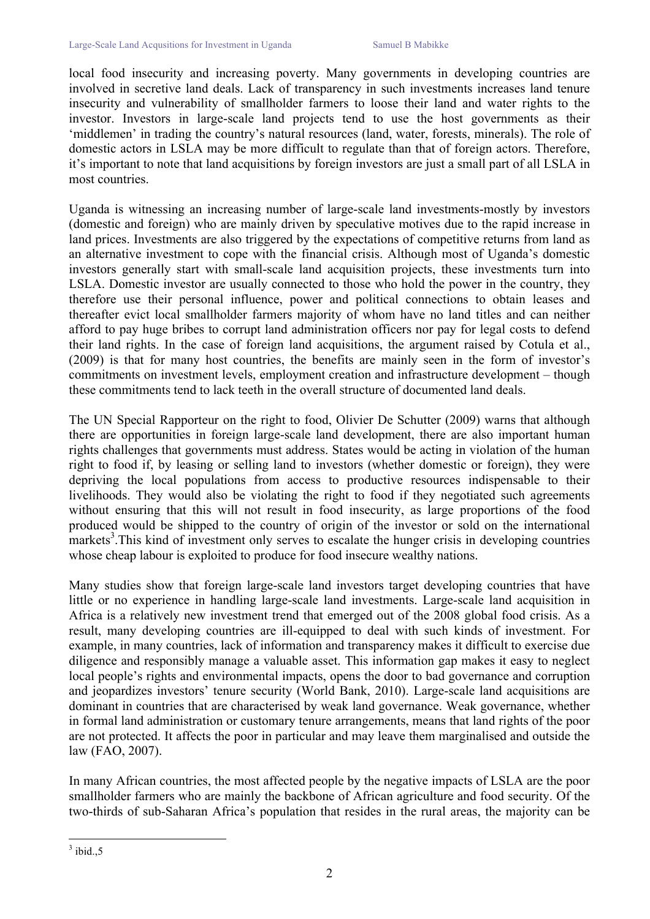local food insecurity and increasing poverty. Many governments in developing countries are involved in secretive land deals. Lack of transparency in such investments increases land tenure insecurity and vulnerability of smallholder farmers to loose their land and water rights to the investor. Investors in large-scale land projects tend to use the host governments as their 'middlemen' in trading the country's natural resources (land, water, forests, minerals). The role of domestic actors in LSLA may be more difficult to regulate than that of foreign actors. Therefore, it's important to note that land acquisitions by foreign investors are just a small part of all LSLA in most countries.

Uganda is witnessing an increasing number of large-scale land investments-mostly by investors (domestic and foreign) who are mainly driven by speculative motives due to the rapid increase in land prices. Investments are also triggered by the expectations of competitive returns from land as an alternative investment to cope with the financial crisis. Although most of Uganda's domestic investors generally start with small-scale land acquisition projects, these investments turn into LSLA. Domestic investor are usually connected to those who hold the power in the country, they therefore use their personal influence, power and political connections to obtain leases and thereafter evict local smallholder farmers majority of whom have no land titles and can neither afford to pay huge bribes to corrupt land administration officers nor pay for legal costs to defend their land rights. In the case of foreign land acquisitions, the argument raised by Cotula et al., (2009) is that for many host countries, the benefits are mainly seen in the form of investor's commitments on investment levels, employment creation and infrastructure development – though these commitments tend to lack teeth in the overall structure of documented land deals.

The UN Special Rapporteur on the right to food, Olivier De Schutter (2009) warns that although there are opportunities in foreign large-scale land development, there are also important human rights challenges that governments must address. States would be acting in violation of the human right to food if, by leasing or selling land to investors (whether domestic or foreign), they were depriving the local populations from access to productive resources indispensable to their livelihoods. They would also be violating the right to food if they negotiated such agreements without ensuring that this will not result in food insecurity, as large proportions of the food produced would be shipped to the country of origin of the investor or sold on the international markets<sup>3</sup>. This kind of investment only serves to escalate the hunger crisis in developing countries whose cheap labour is exploited to produce for food insecure wealthy nations.

Many studies show that foreign large-scale land investors target developing countries that have little or no experience in handling large-scale land investments. Large-scale land acquisition in Africa is a relatively new investment trend that emerged out of the 2008 global food crisis. As a result, many developing countries are ill-equipped to deal with such kinds of investment. For example, in many countries, lack of information and transparency makes it difficult to exercise due diligence and responsibly manage a valuable asset. This information gap makes it easy to neglect local people's rights and environmental impacts, opens the door to bad governance and corruption and jeopardizes investors' tenure security (World Bank, 2010). Large-scale land acquisitions are dominant in countries that are characterised by weak land governance. Weak governance, whether in formal land administration or customary tenure arrangements, means that land rights of the poor are not protected. It affects the poor in particular and may leave them marginalised and outside the law (FAO, 2007).

In many African countries, the most affected people by the negative impacts of LSLA are the poor smallholder farmers who are mainly the backbone of African agriculture and food security. Of the two-thirds of sub-Saharan Africa's population that resides in the rural areas, the majority can be

 $3$  ibid., 5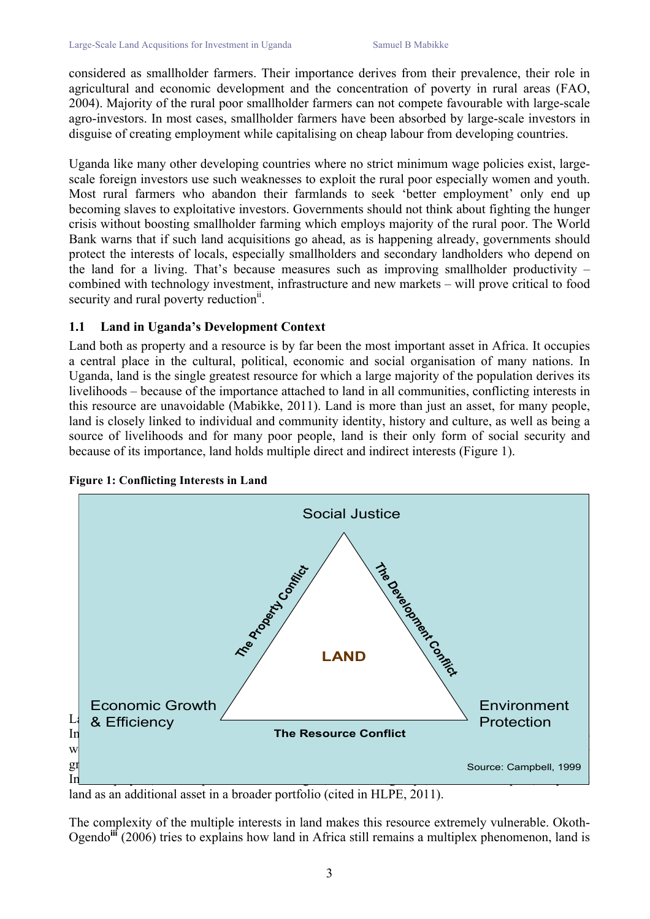considered as smallholder farmers. Their importance derives from their prevalence, their role in agricultural and economic development and the concentration of poverty in rural areas (FAO, 2004). Majority of the rural poor smallholder farmers can not compete favourable with large-scale agro-investors. In most cases, smallholder farmers have been absorbed by large-scale investors in disguise of creating employment while capitalising on cheap labour from developing countries.

Uganda like many other developing countries where no strict minimum wage policies exist, largescale foreign investors use such weaknesses to exploit the rural poor especially women and youth. Most rural farmers who abandon their farmlands to seek 'better employment' only end up becoming slaves to exploitative investors. Governments should not think about fighting the hunger crisis without boosting smallholder farming which employs majority of the rural poor. The World Bank warns that if such land acquisitions go ahead, as is happening already, governments should protect the interests of locals, especially smallholders and secondary landholders who depend on the land for a living. That's because measures such as improving smallholder productivity  $$ combined with technology investment, infrastructure and new markets – will prove critical to food security and rural poverty reduction<sup>ii</sup>.

### **1.1 Land in Uganda's Development Context**

Land both as property and a resource is by far been the most important asset in Africa. It occupies a central place in the cultural, political, economic and social organisation of many nations. In Uganda, land is the single greatest resource for which a large majority of the population derives its livelihoods – because of the importance attached to land in all communities, conflicting interests in this resource are unavoidable (Mabikke, 2011). Land is more than just an asset, for many people, land is closely linked to individual and community identity, history and culture, as well as being a source of livelihoods and for many poor people, land is their only form of social security and because of its importance, land holds multiple direct and indirect interests (Figure 1).



**Figure 1: Conflicting Interests in Land**

land as an additional asset in a broader portfolio (cited in HLPE, 2011).

The complexity of the multiple interests in land makes this resource extremely vulnerable. Okoth-Ogendo**iii** (2006) tries to explains how land in Africa still remains a multiplex phenomenon, land is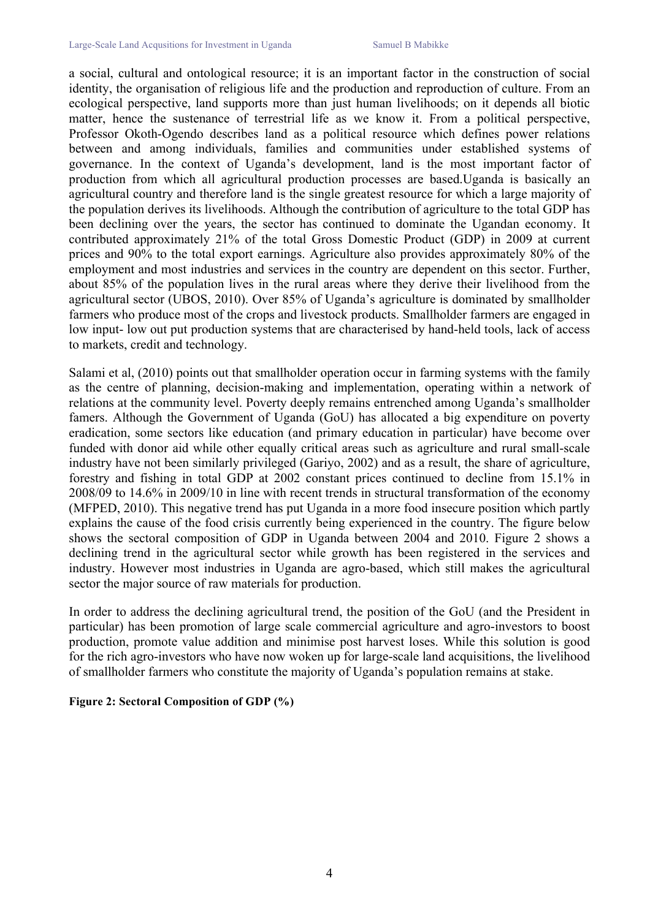a social, cultural and ontological resource; it is an important factor in the construction of social identity, the organisation of religious life and the production and reproduction of culture. From an ecological perspective, land supports more than just human livelihoods; on it depends all biotic matter, hence the sustenance of terrestrial life as we know it. From a political perspective, Professor Okoth-Ogendo describes land as a political resource which defines power relations between and among individuals, families and communities under established systems of governance. In the context of Uganda's development, land is the most important factor of production from which all agricultural production processes are based.Uganda is basically an agricultural country and therefore land is the single greatest resource for which a large majority of the population derives its livelihoods. Although the contribution of agriculture to the total GDP has been declining over the years, the sector has continued to dominate the Ugandan economy. It contributed approximately 21% of the total Gross Domestic Product (GDP) in 2009 at current prices and 90% to the total export earnings. Agriculture also provides approximately 80% of the employment and most industries and services in the country are dependent on this sector. Further, about 85% of the population lives in the rural areas where they derive their livelihood from the agricultural sector (UBOS, 2010). Over 85% of Uganda's agriculture is dominated by smallholder farmers who produce most of the crops and livestock products. Smallholder farmers are engaged in low input- low out put production systems that are characterised by hand-held tools, lack of access to markets, credit and technology.

Salami et al, (2010) points out that smallholder operation occur in farming systems with the family as the centre of planning, decision-making and implementation, operating within a network of relations at the community level. Poverty deeply remains entrenched among Uganda's smallholder famers. Although the Government of Uganda (GoU) has allocated a big expenditure on poverty eradication, some sectors like education (and primary education in particular) have become over funded with donor aid while other equally critical areas such as agriculture and rural small-scale industry have not been similarly privileged (Gariyo, 2002) and as a result, the share of agriculture, forestry and fishing in total GDP at 2002 constant prices continued to decline from 15.1% in 2008/09 to 14.6% in 2009/10 in line with recent trends in structural transformation of the economy (MFPED, 2010). This negative trend has put Uganda in a more food insecure position which partly explains the cause of the food crisis currently being experienced in the country. The figure below shows the sectoral composition of GDP in Uganda between 2004 and 2010. Figure 2 shows a declining trend in the agricultural sector while growth has been registered in the services and industry. However most industries in Uganda are agro-based, which still makes the agricultural sector the major source of raw materials for production.

In order to address the declining agricultural trend, the position of the GoU (and the President in particular) has been promotion of large scale commercial agriculture and agro-investors to boost production, promote value addition and minimise post harvest loses. While this solution is good for the rich agro-investors who have now woken up for large-scale land acquisitions, the livelihood of smallholder farmers who constitute the majority of Uganda's population remains at stake.

#### **Figure 2: Sectoral Composition of GDP (%)**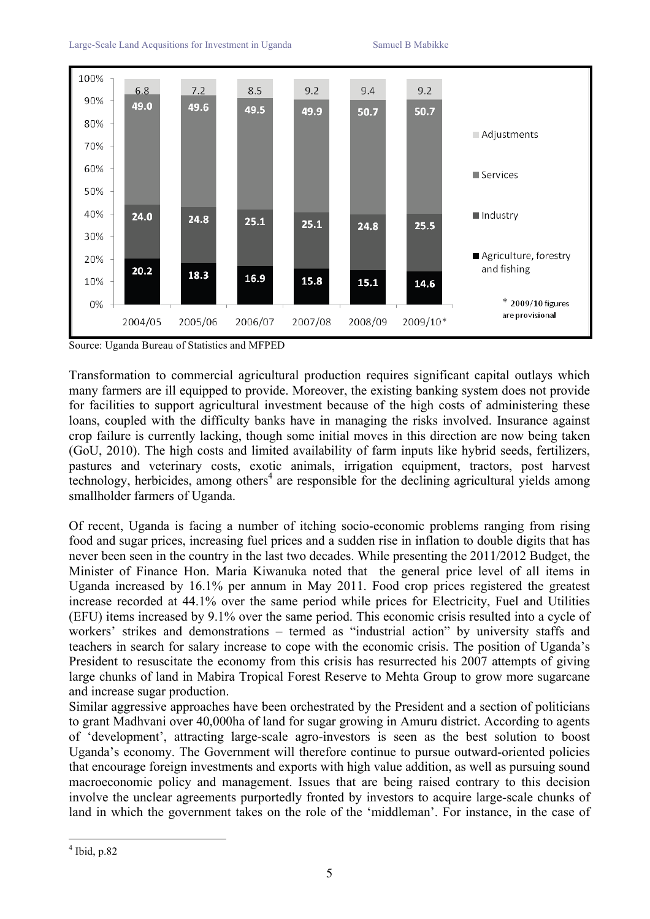

Source: Uganda Bureau of Statistics and MFPED

Transformation to commercial agricultural production requires significant capital outlays which many farmers are ill equipped to provide. Moreover, the existing banking system does not provide for facilities to support agricultural investment because of the high costs of administering these loans, coupled with the difficulty banks have in managing the risks involved. Insurance against crop failure is currently lacking, though some initial moves in this direction are now being taken (GoU, 2010). The high costs and limited availability of farm inputs like hybrid seeds, fertilizers, pastures and veterinary costs, exotic animals, irrigation equipment, tractors, post harvest technology, herbicides, among others<sup>4</sup> are responsible for the declining agricultural yields among smallholder farmers of Uganda.

Of recent, Uganda is facing a number of itching socio-economic problems ranging from rising food and sugar prices, increasing fuel prices and a sudden rise in inflation to double digits that has never been seen in the country in the last two decades. While presenting the 2011/2012 Budget, the Minister of Finance Hon. Maria Kiwanuka noted that the general price level of all items in Uganda increased by 16.1% per annum in May 2011. Food crop prices registered the greatest increase recorded at 44.1% over the same period while prices for Electricity, Fuel and Utilities (EFU) items increased by 9.1% over the same period. This economic crisis resulted into a cycle of workers' strikes and demonstrations – termed as "industrial action" by university staffs and teachers in search for salary increase to cope with the economic crisis. The position of Uganda's President to resuscitate the economy from this crisis has resurrected his 2007 attempts of giving large chunks of land in Mabira Tropical Forest Reserve to Mehta Group to grow more sugarcane and increase sugar production.

Similar aggressive approaches have been orchestrated by the President and a section of politicians to grant Madhvani over 40,000ha of land for sugar growing in Amuru district. According to agents of 'development', attracting large-scale agro-investors is seen as the best solution to boost Uganda's economy. The Government will therefore continue to pursue outward-oriented policies that encourage foreign investments and exports with high value addition, as well as pursuing sound macroeconomic policy and management. Issues that are being raised contrary to this decision involve the unclear agreements purportedly fronted by investors to acquire large-scale chunks of land in which the government takes on the role of the 'middleman'. For instance, in the case of

 $<sup>4</sup>$  Ibid, p.82</sup>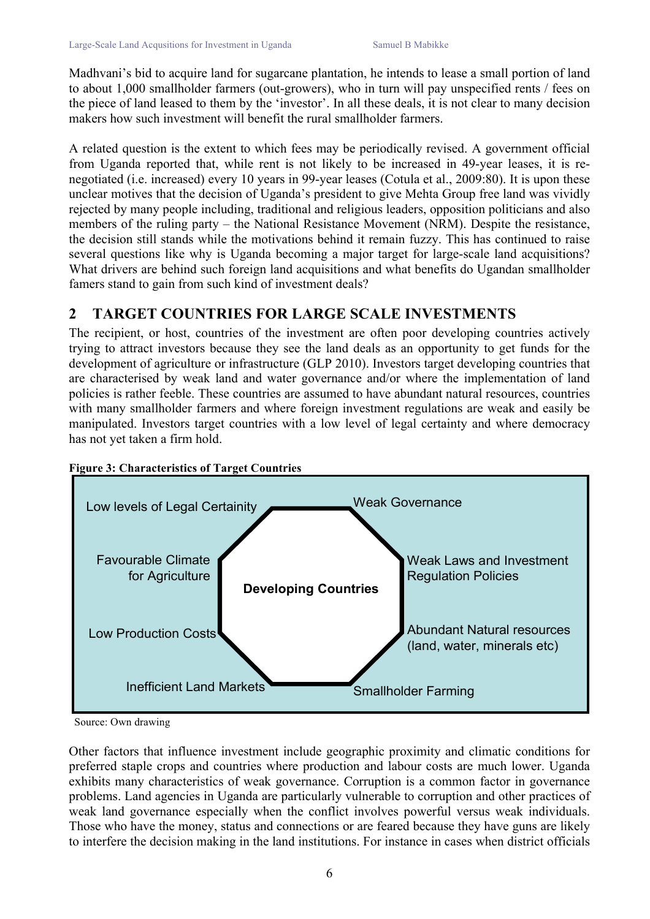Madhvani's bid to acquire land for sugarcane plantation, he intends to lease a small portion of land to about 1,000 smallholder farmers (out-growers), who in turn will pay unspecified rents / fees on the piece of land leased to them by the 'investor'. In all these deals, it is not clear to many decision makers how such investment will benefit the rural smallholder farmers.

A related question is the extent to which fees may be periodically revised. A government official from Uganda reported that, while rent is not likely to be increased in 49-year leases, it is renegotiated (i.e. increased) every 10 years in 99-year leases (Cotula et al., 2009:80). It is upon these unclear motives that the decision of Uganda's president to give Mehta Group free land was vividly rejected by many people including, traditional and religious leaders, opposition politicians and also members of the ruling party – the National Resistance Movement (NRM). Despite the resistance, the decision still stands while the motivations behind it remain fuzzy. This has continued to raise several questions like why is Uganda becoming a major target for large-scale land acquisitions? What drivers are behind such foreign land acquisitions and what benefits do Ugandan smallholder famers stand to gain from such kind of investment deals?

## **2 TARGET COUNTRIES FOR LARGE SCALE INVESTMENTS**

The recipient, or host, countries of the investment are often poor developing countries actively trying to attract investors because they see the land deals as an opportunity to get funds for the development of agriculture or infrastructure (GLP 2010). Investors target developing countries that are characterised by weak land and water governance and/or where the implementation of land policies is rather feeble. These countries are assumed to have abundant natural resources, countries with many smallholder farmers and where foreign investment regulations are weak and easily be manipulated. Investors target countries with a low level of legal certainty and where democracy has not yet taken a firm hold.





Other factors that influence investment include geographic proximity and climatic conditions for preferred staple crops and countries where production and labour costs are much lower. Uganda exhibits many characteristics of weak governance. Corruption is a common factor in governance problems. Land agencies in Uganda are particularly vulnerable to corruption and other practices of weak land governance especially when the conflict involves powerful versus weak individuals. Those who have the money, status and connections or are feared because they have guns are likely to interfere the decision making in the land institutions. For instance in cases when district officials

Source: Own drawing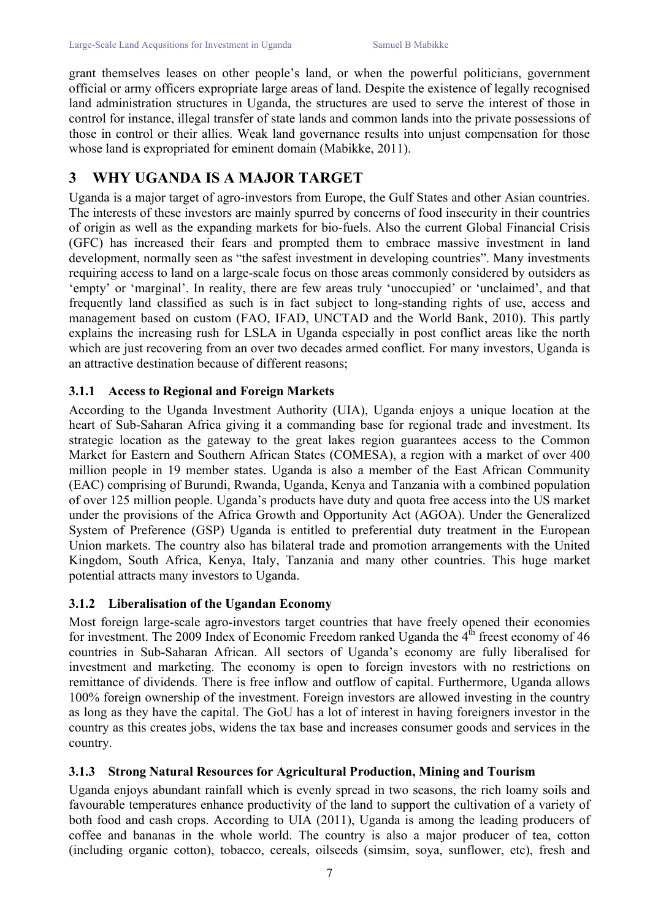grant themselves leases on other people's land, or when the powerful politicians, government official or army officers expropriate large areas of land. Despite the existence of legally recognised land administration structures in Uganda, the structures are used to serve the interest of those in control for instance, illegal transfer of state lands and common lands into the private possessions of those in control or their allies. Weak land governance results into unjust compensation for those whose land is expropriated for eminent domain (Mabikke, 2011).

# **3 WHY UGANDA IS A MAJOR TARGET**

Uganda is a major target of agro-investors from Europe, the Gulf States and other Asian countries. The interests of these investors are mainly spurred by concerns of food insecurity in their countries of origin as well as the expanding markets for bio-fuels. Also the current Global Financial Crisis (GFC) has increased their fears and prompted them to embrace massive investment in land development, normally seen as "the safest investment in developing countries". Many investments requiring access to land on a large-scale focus on those areas commonly considered by outsiders as 'empty' or 'marginal'. In reality, there are few areas truly 'unoccupied' or 'unclaimed', and that frequently land classified as such is in fact subject to long-standing rights of use, access and management based on custom (FAO, IFAD, UNCTAD and the World Bank, 2010). This partly explains the increasing rush for LSLA in Uganda especially in post conflict areas like the north which are just recovering from an over two decades armed conflict. For many investors, Uganda is an attractive destination because of different reasons;

## **3.1.1 Access to Regional and Foreign Markets**

According to the Uganda Investment Authority (UIA), Uganda enjoys a unique location at the heart of Sub-Saharan Africa giving it a commanding base for regional trade and investment. Its strategic location as the gateway to the great lakes region guarantees access to the Common Market for Eastern and Southern African States (COMESA), a region with a market of over 400 million people in 19 member states. Uganda is also a member of the East African Community (EAC) comprising of Burundi, Rwanda, Uganda, Kenya and Tanzania with a combined population of over 125 million people. Uganda's products have duty and quota free access into the US market under the provisions of the Africa Growth and Opportunity Act (AGOA). Under the Generalized System of Preference (GSP) Uganda is entitled to preferential duty treatment in the European Union markets. The country also has bilateral trade and promotion arrangements with the United Kingdom, South Africa, Kenya, Italy, Tanzania and many other countries. This huge market potential attracts many investors to Uganda.

### **3.1.2 Liberalisation of the Ugandan Economy**

Most foreign large-scale agro-investors target countries that have freely opened their economies for investment. The 2009 Index of Economic Freedom ranked Uganda the  $4<sup>th</sup>$  freest economy of 46 countries in Sub-Saharan African. All sectors of Uganda's economy are fully liberalised for investment and marketing. The economy is open to foreign investors with no restrictions on remittance of dividends. There is free inflow and outflow of capital. Furthermore, Uganda allows 100% foreign ownership of the investment. Foreign investors are allowed investing in the country as long as they have the capital. The GoU has a lot of interest in having foreigners investor in the country as this creates jobs, widens the tax base and increases consumer goods and services in the country.

## **3.1.3 Strong Natural Resources for Agricultural Production, Mining and Tourism**

Uganda enjoys abundant rainfall which is evenly spread in two seasons, the rich loamy soils and favourable temperatures enhance productivity of the land to support the cultivation of a variety of both food and cash crops. According to UIA (2011), Uganda is among the leading producers of coffee and bananas in the whole world. The country is also a major producer of tea, cotton (including organic cotton), tobacco, cereals, oilseeds (simsim, soya, sunflower, etc), fresh and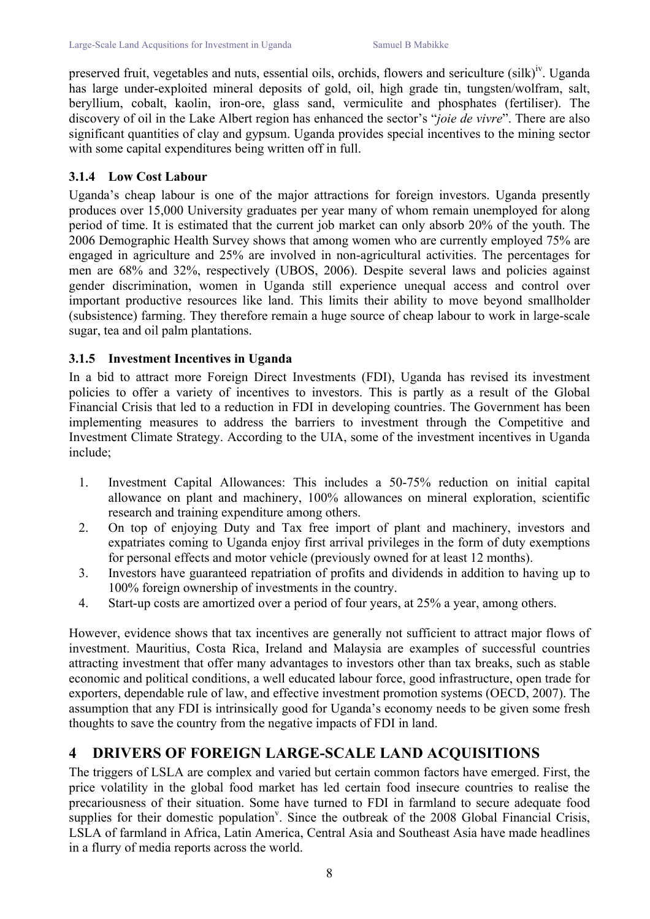preserved fruit, vegetables and nuts, essential oils, orchids, flowers and sericulture (silk)<sup>iv</sup>. Uganda has large under-exploited mineral deposits of gold, oil, high grade tin, tungsten/wolfram, salt, beryllium, cobalt, kaolin, iron-ore, glass sand, vermiculite and phosphates (fertiliser). The discovery of oil in the Lake Albert region has enhanced the sector's "*joie de vivre*". There are also significant quantities of clay and gypsum. Uganda provides special incentives to the mining sector with some capital expenditures being written off in full.

### **3.1.4 Low Cost Labour**

Uganda's cheap labour is one of the major attractions for foreign investors. Uganda presently produces over 15,000 University graduates per year many of whom remain unemployed for along period of time. It is estimated that the current job market can only absorb 20% of the youth. The 2006 Demographic Health Survey shows that among women who are currently employed 75% are engaged in agriculture and 25% are involved in non-agricultural activities. The percentages for men are 68% and 32%, respectively (UBOS, 2006). Despite several laws and policies against gender discrimination, women in Uganda still experience unequal access and control over important productive resources like land. This limits their ability to move beyond smallholder (subsistence) farming. They therefore remain a huge source of cheap labour to work in large-scale sugar, tea and oil palm plantations.

### **3.1.5 Investment Incentives in Uganda**

In a bid to attract more Foreign Direct Investments (FDI), Uganda has revised its investment policies to offer a variety of incentives to investors. This is partly as a result of the Global Financial Crisis that led to a reduction in FDI in developing countries. The Government has been implementing measures to address the barriers to investment through the Competitive and Investment Climate Strategy. According to the UIA, some of the investment incentives in Uganda include;

- 1. Investment Capital Allowances: This includes a 50-75% reduction on initial capital allowance on plant and machinery, 100% allowances on mineral exploration, scientific research and training expenditure among others.
- 2. On top of enjoying Duty and Tax free import of plant and machinery, investors and expatriates coming to Uganda enjoy first arrival privileges in the form of duty exemptions for personal effects and motor vehicle (previously owned for at least 12 months).
- 3. Investors have guaranteed repatriation of profits and dividends in addition to having up to 100% foreign ownership of investments in the country.
- 4. Start-up costs are amortized over a period of four years, at 25% a year, among others.

However, evidence shows that tax incentives are generally not sufficient to attract major flows of investment. Mauritius, Costa Rica, Ireland and Malaysia are examples of successful countries attracting investment that offer many advantages to investors other than tax breaks, such as stable economic and political conditions, a well educated labour force, good infrastructure, open trade for exporters, dependable rule of law, and effective investment promotion systems (OECD, 2007). The assumption that any FDI is intrinsically good for Uganda's economy needs to be given some fresh thoughts to save the country from the negative impacts of FDI in land.

## **4 DRIVERS OF FOREIGN LARGE-SCALE LAND ACQUISITIONS**

The triggers of LSLA are complex and varied but certain common factors have emerged. First, the price volatility in the global food market has led certain food insecure countries to realise the precariousness of their situation. Some have turned to FDI in farmland to secure adequate food supplies for their domestic population<sup>v</sup>. Since the outbreak of the 2008 Global Financial Crisis, LSLA of farmland in Africa, Latin America, Central Asia and Southeast Asia have made headlines in a flurry of media reports across the world.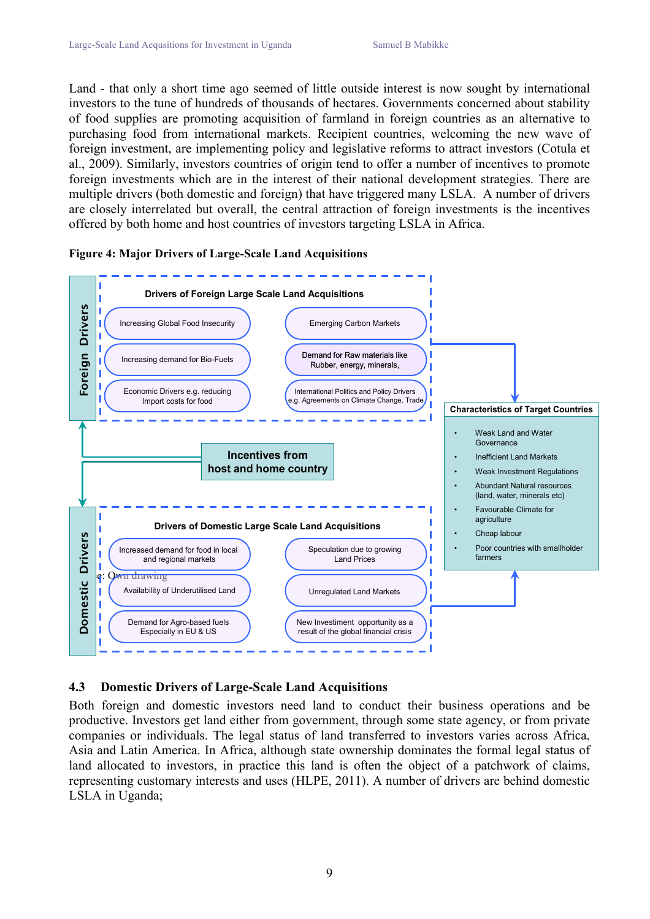Land - that only a short time ago seemed of little outside interest is now sought by international investors to the tune of hundreds of thousands of hectares. Governments concerned about stability of food supplies are promoting acquisition of farmland in foreign countries as an alternative to purchasing food from international markets. Recipient countries, welcoming the new wave of foreign investment, are implementing policy and legislative reforms to attract investors (Cotula et al., 2009). Similarly, investors countries of origin tend to offer a number of incentives to promote foreign investments which are in the interest of their national development strategies. There are multiple drivers (both domestic and foreign) that have triggered many LSLA. A number of drivers are closely interrelated but overall, the central attraction of foreign investments is the incentives offered by both home and host countries of investors targeting LSLA in Africa.



#### **Figure 4: Major Drivers of Large-Scale Land Acquisitions**

## **4.3 Domestic Drivers of Large-Scale Land Acquisitions**

Both foreign and domestic investors need land to conduct their business operations and be productive. Investors get land either from government, through some state agency, or from private companies or individuals. The legal status of land transferred to investors varies across Africa, Asia and Latin America. In Africa, although state ownership dominates the formal legal status of land allocated to investors, in practice this land is often the object of a patchwork of claims, representing customary interests and uses (HLPE, 2011). A number of drivers are behind domestic LSLA in Uganda;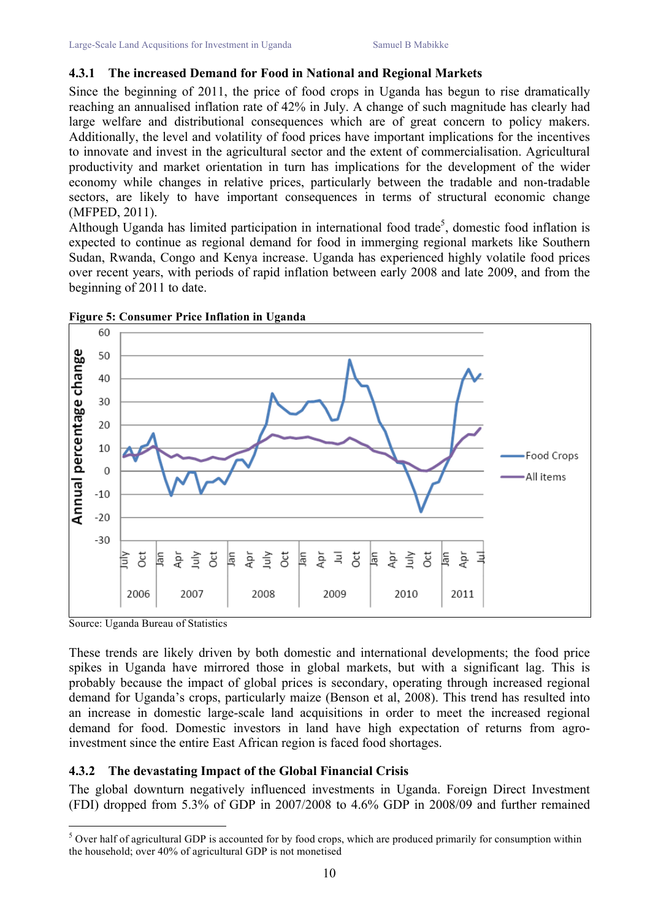#### **4.3.1 The increased Demand for Food in National and Regional Markets**

Since the beginning of 2011, the price of food crops in Uganda has begun to rise dramatically reaching an annualised inflation rate of 42% in July. A change of such magnitude has clearly had large welfare and distributional consequences which are of great concern to policy makers. Additionally, the level and volatility of food prices have important implications for the incentives to innovate and invest in the agricultural sector and the extent of commercialisation. Agricultural productivity and market orientation in turn has implications for the development of the wider economy while changes in relative prices, particularly between the tradable and non-tradable sectors, are likely to have important consequences in terms of structural economic change (MFPED, 2011).

Although Uganda has limited participation in international food trade<sup>5</sup>, domestic food inflation is expected to continue as regional demand for food in immerging regional markets like Southern Sudan, Rwanda, Congo and Kenya increase. Uganda has experienced highly volatile food prices over recent years, with periods of rapid inflation between early 2008 and late 2009, and from the beginning of 2011 to date.



**Figure 5: Consumer Price Inflation in Uganda**

Source: Uganda Bureau of Statistics

These trends are likely driven by both domestic and international developments; the food price spikes in Uganda have mirrored those in global markets, but with a significant lag. This is probably because the impact of global prices is secondary, operating through increased regional demand for Uganda's crops, particularly maize (Benson et al, 2008). This trend has resulted into an increase in domestic large-scale land acquisitions in order to meet the increased regional demand for food. Domestic investors in land have high expectation of returns from agroinvestment since the entire East African region is faced food shortages.

## **4.3.2 The devastating Impact of the Global Financial Crisis**

The global downturn negatively influenced investments in Uganda. Foreign Direct Investment (FDI) dropped from 5.3% of GDP in 2007/2008 to 4.6% GDP in 2008/09 and further remained

 $5$  Over half of agricultural GDP is accounted for by food crops, which are produced primarily for consumption within the household; over 40% of agricultural GDP is not monetised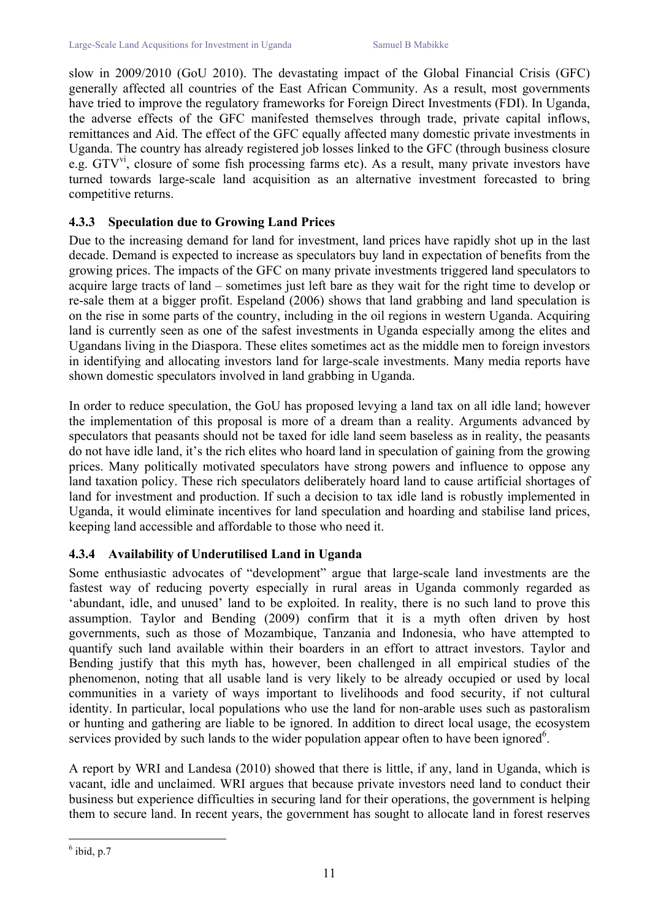slow in 2009/2010 (GoU 2010). The devastating impact of the Global Financial Crisis (GFC) generally affected all countries of the East African Community. As a result, most governments have tried to improve the regulatory frameworks for Foreign Direct Investments (FDI). In Uganda, the adverse effects of the GFC manifested themselves through trade, private capital inflows, remittances and Aid. The effect of the GFC equally affected many domestic private investments in Uganda. The country has already registered job losses linked to the GFC (through business closure e.g.  $GTV<sup>vi</sup>$ , closure of some fish processing farms etc). As a result, many private investors have turned towards large-scale land acquisition as an alternative investment forecasted to bring competitive returns.

### **4.3.3 Speculation due to Growing Land Prices**

Due to the increasing demand for land for investment, land prices have rapidly shot up in the last decade. Demand is expected to increase as speculators buy land in expectation of benefits from the growing prices. The impacts of the GFC on many private investments triggered land speculators to acquire large tracts of land – sometimes just left bare as they wait for the right time to develop or re-sale them at a bigger profit. Espeland (2006) shows that land grabbing and land speculation is on the rise in some parts of the country, including in the oil regions in western Uganda. Acquiring land is currently seen as one of the safest investments in Uganda especially among the elites and Ugandans living in the Diaspora. These elites sometimes act as the middle men to foreign investors in identifying and allocating investors land for large-scale investments. Many media reports have shown domestic speculators involved in land grabbing in Uganda.

In order to reduce speculation, the GoU has proposed levying a land tax on all idle land; however the implementation of this proposal is more of a dream than a reality. Arguments advanced by speculators that peasants should not be taxed for idle land seem baseless as in reality, the peasants do not have idle land, it's the rich elites who hoard land in speculation of gaining from the growing prices. Many politically motivated speculators have strong powers and influence to oppose any land taxation policy. These rich speculators deliberately hoard land to cause artificial shortages of land for investment and production. If such a decision to tax idle land is robustly implemented in Uganda, it would eliminate incentives for land speculation and hoarding and stabilise land prices, keeping land accessible and affordable to those who need it.

## **4.3.4 Availability of Underutilised Land in Uganda**

Some enthusiastic advocates of "development" argue that large-scale land investments are the fastest way of reducing poverty especially in rural areas in Uganda commonly regarded as 'abundant, idle, and unused' land to be exploited. In reality, there is no such land to prove this assumption. Taylor and Bending (2009) confirm that it is a myth often driven by host governments, such as those of Mozambique, Tanzania and Indonesia, who have attempted to quantify such land available within their boarders in an effort to attract investors. Taylor and Bending justify that this myth has, however, been challenged in all empirical studies of the phenomenon, noting that all usable land is very likely to be already occupied or used by local communities in a variety of ways important to livelihoods and food security, if not cultural identity. In particular, local populations who use the land for non-arable uses such as pastoralism or hunting and gathering are liable to be ignored. In addition to direct local usage, the ecosystem services provided by such lands to the wider population appear often to have been ignored $6$ .

A report by WRI and Landesa (2010) showed that there is little, if any, land in Uganda, which is vacant, idle and unclaimed. WRI argues that because private investors need land to conduct their business but experience difficulties in securing land for their operations, the government is helping them to secure land. In recent years, the government has sought to allocate land in forest reserves

 $6$  ibid, p.7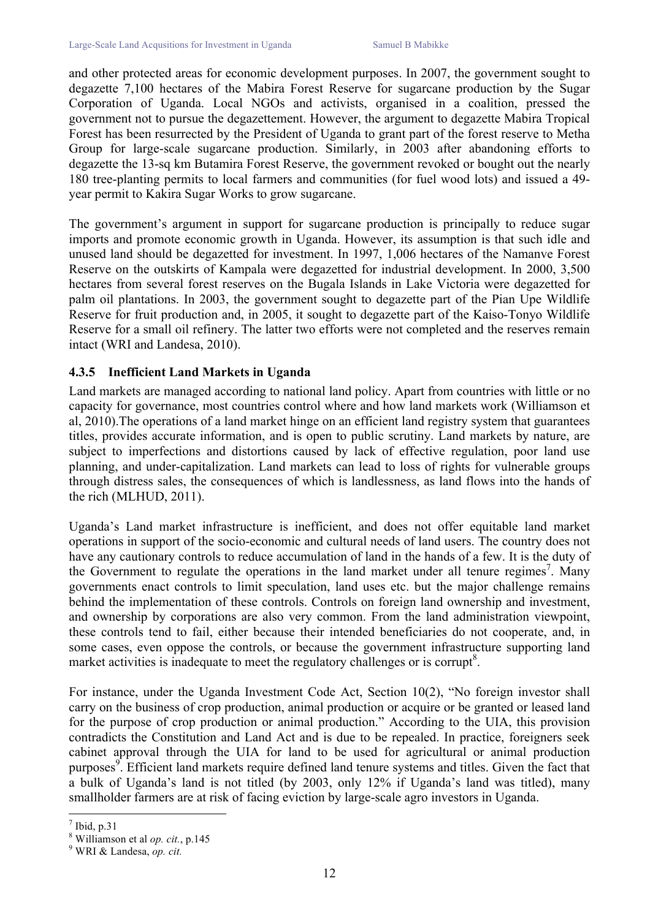and other protected areas for economic development purposes. In 2007, the government sought to degazette 7,100 hectares of the Mabira Forest Reserve for sugarcane production by the Sugar Corporation of Uganda. Local NGOs and activists, organised in a coalition, pressed the government not to pursue the degazettement. However, the argument to degazette Mabira Tropical Forest has been resurrected by the President of Uganda to grant part of the forest reserve to Metha Group for large-scale sugarcane production. Similarly, in 2003 after abandoning efforts to degazette the 13-sq km Butamira Forest Reserve, the government revoked or bought out the nearly 180 tree-planting permits to local farmers and communities (for fuel wood lots) and issued a 49 year permit to Kakira Sugar Works to grow sugarcane.

The government's argument in support for sugarcane production is principally to reduce sugar imports and promote economic growth in Uganda. However, its assumption is that such idle and unused land should be degazetted for investment. In 1997, 1,006 hectares of the Namanve Forest Reserve on the outskirts of Kampala were degazetted for industrial development. In 2000, 3,500 hectares from several forest reserves on the Bugala Islands in Lake Victoria were degazetted for palm oil plantations. In 2003, the government sought to degazette part of the Pian Upe Wildlife Reserve for fruit production and, in 2005, it sought to degazette part of the Kaiso-Tonyo Wildlife Reserve for a small oil refinery. The latter two efforts were not completed and the reserves remain intact (WRI and Landesa, 2010).

#### **4.3.5 Inefficient Land Markets in Uganda**

Land markets are managed according to national land policy. Apart from countries with little or no capacity for governance, most countries control where and how land markets work (Williamson et al, 2010).The operations of a land market hinge on an efficient land registry system that guarantees titles, provides accurate information, and is open to public scrutiny. Land markets by nature, are subject to imperfections and distortions caused by lack of effective regulation, poor land use planning, and under-capitalization. Land markets can lead to loss of rights for vulnerable groups through distress sales, the consequences of which is landlessness, as land flows into the hands of the rich (MLHUD, 2011).

Uganda's Land market infrastructure is inefficient, and does not offer equitable land market operations in support of the socio-economic and cultural needs of land users. The country does not have any cautionary controls to reduce accumulation of land in the hands of a few. It is the duty of the Government to regulate the operations in the land market under all tenure regimes<sup>7</sup>. Many governments enact controls to limit speculation, land uses etc. but the major challenge remains behind the implementation of these controls. Controls on foreign land ownership and investment, and ownership by corporations are also very common. From the land administration viewpoint, these controls tend to fail, either because their intended beneficiaries do not cooperate, and, in some cases, even oppose the controls, or because the government infrastructure supporting land market activities is inadequate to meet the regulatory challenges or is corrupt $8$ .

For instance, under the Uganda Investment Code Act, Section 10(2), "No foreign investor shall carry on the business of crop production, animal production or acquire or be granted or leased land for the purpose of crop production or animal production." According to the UIA, this provision contradicts the Constitution and Land Act and is due to be repealed. In practice, foreigners seek cabinet approval through the UIA for land to be used for agricultural or animal production purposes<sup>9</sup>. Efficient land markets require defined land tenure systems and titles. Given the fact that a bulk of Uganda's land is not titled (by 2003, only 12% if Uganda's land was titled), many smallholder farmers are at risk of facing eviction by large-scale agro investors in Uganda.

 $<sup>7</sup>$  Ibid, p.31</sup>

<sup>8</sup> Williamson et al *op. cit.*, p.145 <sup>9</sup> WRI & Landesa, *op. cit.*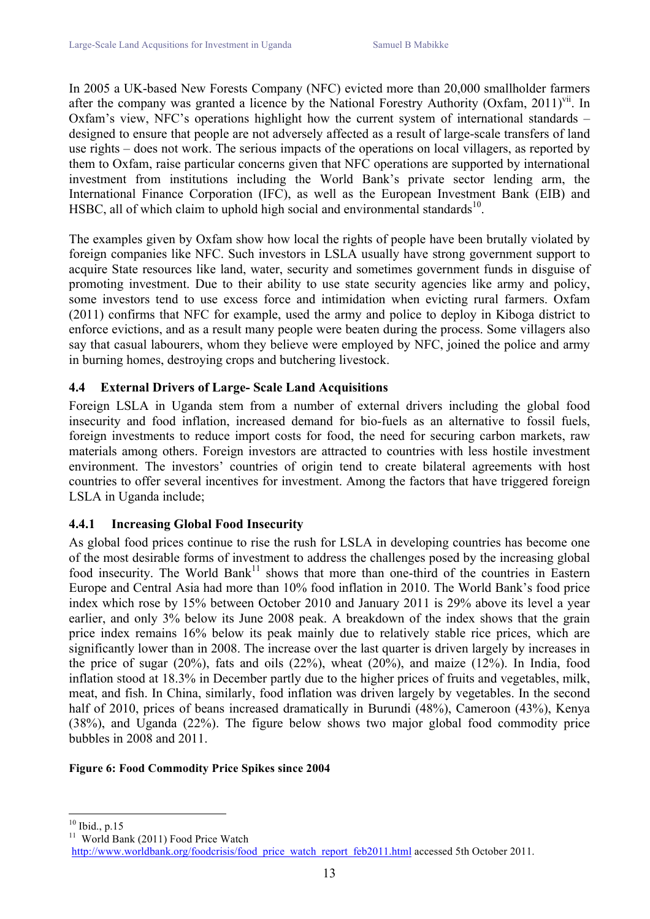In 2005 a UK-based New Forests Company (NFC) evicted more than 20,000 smallholder farmers after the company was granted a licence by the National Forestry Authority (Oxfam, 2011)<sup>vii</sup>. In Oxfam's view, NFC's operations highlight how the current system of international standards – designed to ensure that people are not adversely affected as a result of large-scale transfers of land use rights – does not work. The serious impacts of the operations on local villagers, as reported by them to Oxfam, raise particular concerns given that NFC operations are supported by international investment from institutions including the World Bank's private sector lending arm, the International Finance Corporation (IFC), as well as the European Investment Bank (EIB) and HSBC, all of which claim to uphold high social and environmental standards $10$ .

The examples given by Oxfam show how local the rights of people have been brutally violated by foreign companies like NFC. Such investors in LSLA usually have strong government support to acquire State resources like land, water, security and sometimes government funds in disguise of promoting investment. Due to their ability to use state security agencies like army and policy, some investors tend to use excess force and intimidation when evicting rural farmers. Oxfam (2011) confirms that NFC for example, used the army and police to deploy in Kiboga district to enforce evictions, and as a result many people were beaten during the process. Some villagers also say that casual labourers, whom they believe were employed by NFC, joined the police and army in burning homes, destroying crops and butchering livestock.

### **4.4 External Drivers of Large- Scale Land Acquisitions**

Foreign LSLA in Uganda stem from a number of external drivers including the global food insecurity and food inflation, increased demand for bio-fuels as an alternative to fossil fuels, foreign investments to reduce import costs for food, the need for securing carbon markets, raw materials among others. Foreign investors are attracted to countries with less hostile investment environment. The investors' countries of origin tend to create bilateral agreements with host countries to offer several incentives for investment. Among the factors that have triggered foreign LSLA in Uganda include;

### **4.4.1 Increasing Global Food Insecurity**

As global food prices continue to rise the rush for LSLA in developing countries has become one of the most desirable forms of investment to address the challenges posed by the increasing global food insecurity. The World Bank<sup>11</sup> shows that more than one-third of the countries in Eastern Europe and Central Asia had more than 10% food inflation in 2010. The World Bank's food price index which rose by 15% between October 2010 and January 2011 is 29% above its level a year earlier, and only 3% below its June 2008 peak. A breakdown of the index shows that the grain price index remains 16% below its peak mainly due to relatively stable rice prices, which are significantly lower than in 2008. The increase over the last quarter is driven largely by increases in the price of sugar (20%), fats and oils (22%), wheat (20%), and maize (12%). In India, food inflation stood at 18.3% in December partly due to the higher prices of fruits and vegetables, milk, meat, and fish. In China, similarly, food inflation was driven largely by vegetables. In the second half of 2010, prices of beans increased dramatically in Burundi (48%), Cameroon (43%), Kenya (38%), and Uganda (22%). The figure below shows two major global food commodity price bubbles in 2008 and 2011.

#### **Figure 6: Food Commodity Price Spikes since 2004**

 $10^{10}$  Ibid., p.15<br> $11$  World Bank (2011) Food Price Watch

http://www.worldbank.org/foodcrisis/food\_price\_watch\_report\_feb2011.html accessed 5th October 2011.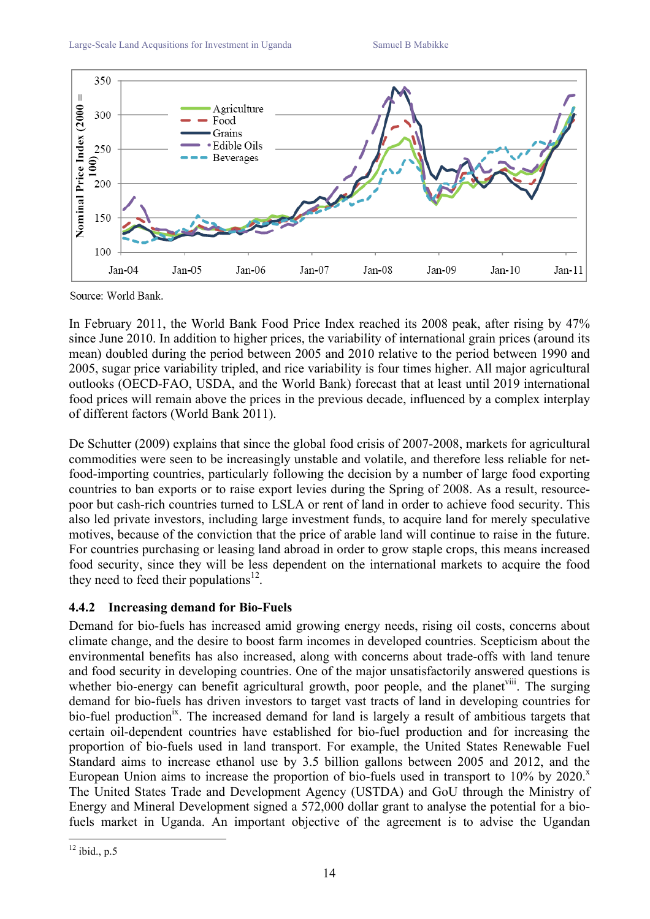

Source: World Bank.

In February 2011, the World Bank Food Price Index reached its 2008 peak, after rising by 47% since June 2010. In addition to higher prices, the variability of international grain prices (around its mean) doubled during the period between 2005 and 2010 relative to the period between 1990 and 2005, sugar price variability tripled, and rice variability is four times higher. All major agricultural outlooks (OECD-FAO, USDA, and the World Bank) forecast that at least until 2019 international food prices will remain above the prices in the previous decade, influenced by a complex interplay of different factors (World Bank 2011).

De Schutter (2009) explains that since the global food crisis of 2007-2008, markets for agricultural commodities were seen to be increasingly unstable and volatile, and therefore less reliable for netfood-importing countries, particularly following the decision by a number of large food exporting countries to ban exports or to raise export levies during the Spring of 2008. As a result, resourcepoor but cash-rich countries turned to LSLA or rent of land in order to achieve food security. This also led private investors, including large investment funds, to acquire land for merely speculative motives, because of the conviction that the price of arable land will continue to raise in the future. For countries purchasing or leasing land abroad in order to grow staple crops, this means increased food security, since they will be less dependent on the international markets to acquire the food they need to feed their populations<sup>12</sup>.

### **4.4.2 Increasing demand for Bio-Fuels**

Demand for bio-fuels has increased amid growing energy needs, rising oil costs, concerns about climate change, and the desire to boost farm incomes in developed countries. Scepticism about the environmental benefits has also increased, along with concerns about trade-offs with land tenure and food security in developing countries. One of the major unsatisfactorily answered questions is whether bio-energy can benefit agricultural growth, poor people, and the planet  $\mu$ <sup>un</sup>. The surging demand for bio-fuels has driven investors to target vast tracts of land in developing countries for bio-fuel production<sup>ix</sup>. The increased demand for land is largely a result of ambitious targets that certain oil-dependent countries have established for bio-fuel production and for increasing the proportion of bio-fuels used in land transport. For example, the United States Renewable Fuel Standard aims to increase ethanol use by 3.5 billion gallons between 2005 and 2012, and the European Union aims to increase the proportion of bio-fuels used in transport to  $10\%$  by  $2020$ . The United States Trade and Development Agency (USTDA) and GoU through the Ministry of Energy and Mineral Development signed a 572,000 dollar grant to analyse the potential for a biofuels market in Uganda. An important objective of the agreement is to advise the Ugandan

 $12$  ibid., p.5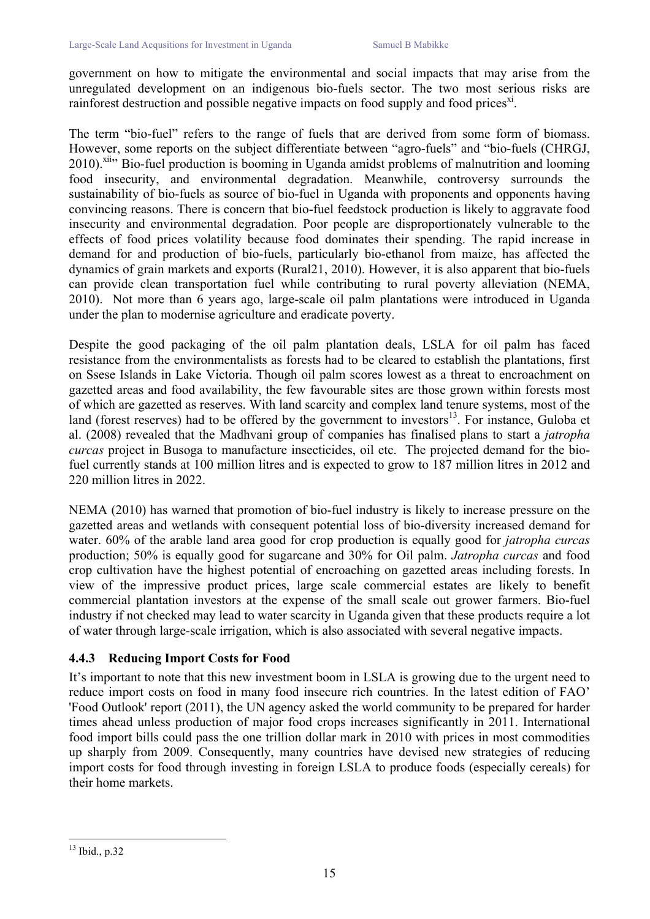government on how to mitigate the environmental and social impacts that may arise from the unregulated development on an indigenous bio-fuels sector. The two most serious risks are rainforest destruction and possible negative impacts on food supply and food prices<sup>xi</sup>.

The term "bio-fuel" refers to the range of fuels that are derived from some form of biomass. However, some reports on the subject differentiate between "agro-fuels" and "bio-fuels (CHRGJ, 2010).<sup>xii</sup> Bio-fuel production is booming in Uganda amidst problems of malnutrition and looming food insecurity, and environmental degradation. Meanwhile, controversy surrounds the sustainability of bio-fuels as source of bio-fuel in Uganda with proponents and opponents having convincing reasons. There is concern that bio-fuel feedstock production is likely to aggravate food insecurity and environmental degradation. Poor people are disproportionately vulnerable to the effects of food prices volatility because food dominates their spending. The rapid increase in demand for and production of bio-fuels, particularly bio-ethanol from maize, has affected the dynamics of grain markets and exports (Rural21, 2010). However, it is also apparent that bio-fuels can provide clean transportation fuel while contributing to rural poverty alleviation (NEMA, 2010). Not more than 6 years ago, large-scale oil palm plantations were introduced in Uganda under the plan to modernise agriculture and eradicate poverty.

Despite the good packaging of the oil palm plantation deals, LSLA for oil palm has faced resistance from the environmentalists as forests had to be cleared to establish the plantations, first on Ssese Islands in Lake Victoria. Though oil palm scores lowest as a threat to encroachment on gazetted areas and food availability, the few favourable sites are those grown within forests most of which are gazetted as reserves. With land scarcity and complex land tenure systems, most of the land (forest reserves) had to be offered by the government to investors $13$ . For instance, Guloba et al. (2008) revealed that the Madhvani group of companies has finalised plans to start a *jatropha curcas* project in Busoga to manufacture insecticides, oil etc. The projected demand for the biofuel currently stands at 100 million litres and is expected to grow to 187 million litres in 2012 and 220 million litres in 2022.

NEMA (2010) has warned that promotion of bio-fuel industry is likely to increase pressure on the gazetted areas and wetlands with consequent potential loss of bio-diversity increased demand for water. 60% of the arable land area good for crop production is equally good for *jatropha curcas*  production; 50% is equally good for sugarcane and 30% for Oil palm. *Jatropha curcas* and food crop cultivation have the highest potential of encroaching on gazetted areas including forests. In view of the impressive product prices, large scale commercial estates are likely to benefit commercial plantation investors at the expense of the small scale out grower farmers. Bio-fuel industry if not checked may lead to water scarcity in Uganda given that these products require a lot of water through large-scale irrigation, which is also associated with several negative impacts.

### **4.4.3 Reducing Import Costs for Food**

It's important to note that this new investment boom in LSLA is growing due to the urgent need to reduce import costs on food in many food insecure rich countries. In the latest edition of FAO' 'Food Outlook' report (2011), the UN agency asked the world community to be prepared for harder times ahead unless production of major food crops increases significantly in 2011. International food import bills could pass the one trillion dollar mark in 2010 with prices in most commodities up sharply from 2009. Consequently, many countries have devised new strategies of reducing import costs for food through investing in foreign LSLA to produce foods (especially cereals) for their home markets.

 <sup>13</sup> Ibid., p.32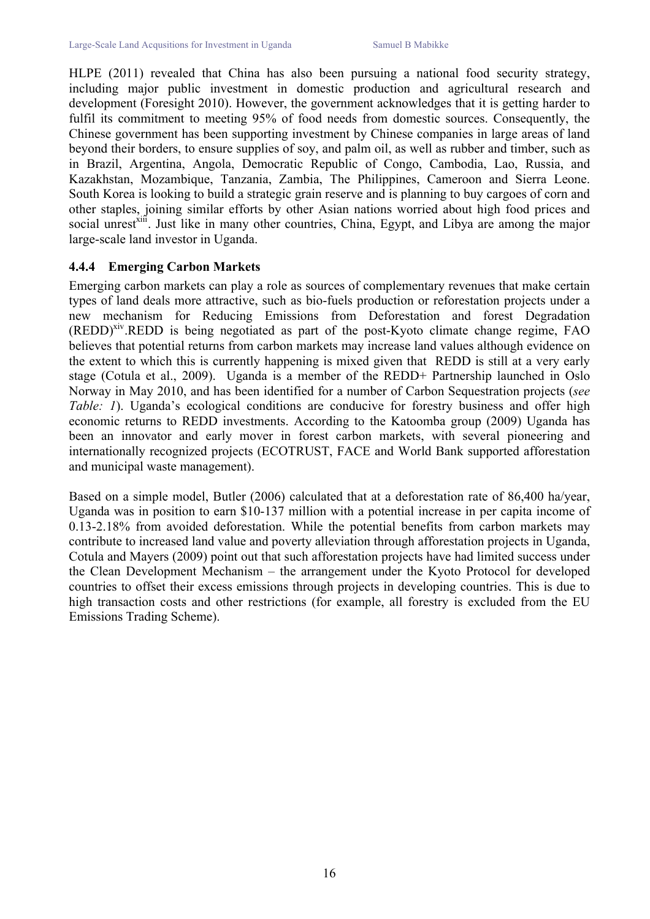HLPE (2011) revealed that China has also been pursuing a national food security strategy, including major public investment in domestic production and agricultural research and development (Foresight 2010). However, the government acknowledges that it is getting harder to fulfil its commitment to meeting 95% of food needs from domestic sources. Consequently, the Chinese government has been supporting investment by Chinese companies in large areas of land beyond their borders, to ensure supplies of soy, and palm oil, as well as rubber and timber, such as in Brazil, Argentina, Angola, Democratic Republic of Congo, Cambodia, Lao, Russia, and Kazakhstan, Mozambique, Tanzania, Zambia, The Philippines, Cameroon and Sierra Leone. South Korea is looking to build a strategic grain reserve and is planning to buy cargoes of corn and other staples, joining similar efforts by other Asian nations worried about high food prices and social unrest<sup>xiii</sup>. Just like in many other countries, China, Egypt, and Libya are among the major large-scale land investor in Uganda.

#### **4.4.4 Emerging Carbon Markets**

Emerging carbon markets can play a role as sources of complementary revenues that make certain types of land deals more attractive, such as bio-fuels production or reforestation projects under a new mechanism for Reducing Emissions from Deforestation and forest Degradation (REDD)<sup>xiv</sup>.REDD is being negotiated as part of the post-Kyoto climate change regime, FAO believes that potential returns from carbon markets may increase land values although evidence on the extent to which this is currently happening is mixed given that REDD is still at a very early stage (Cotula et al., 2009). Uganda is a member of the REDD+ Partnership launched in Oslo Norway in May 2010, and has been identified for a number of Carbon Sequestration projects (*see Table: 1*). Uganda's ecological conditions are conducive for forestry business and offer high economic returns to REDD investments. According to the Katoomba group (2009) Uganda has been an innovator and early mover in forest carbon markets, with several pioneering and internationally recognized projects (ECOTRUST, FACE and World Bank supported afforestation and municipal waste management).

Based on a simple model, Butler (2006) calculated that at a deforestation rate of 86,400 ha/year, Uganda was in position to earn \$10-137 million with a potential increase in per capita income of 0.13-2.18% from avoided deforestation. While the potential benefits from carbon markets may contribute to increased land value and poverty alleviation through afforestation projects in Uganda, Cotula and Mayers (2009) point out that such afforestation projects have had limited success under the Clean Development Mechanism – the arrangement under the Kyoto Protocol for developed countries to offset their excess emissions through projects in developing countries. This is due to high transaction costs and other restrictions (for example, all forestry is excluded from the EU Emissions Trading Scheme).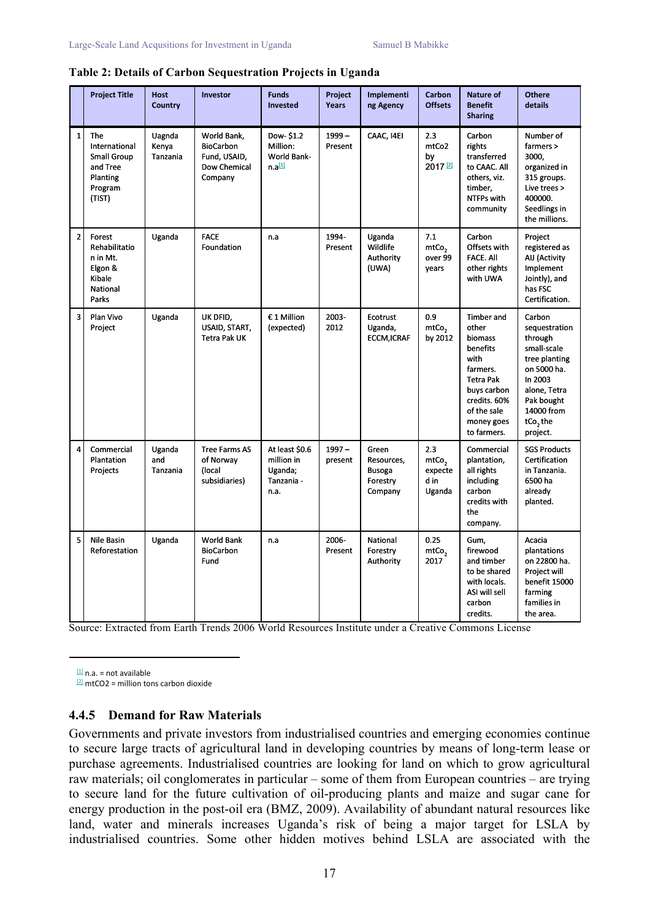|                | <b>Project Title</b>                                                                    | <b>Host</b><br>Country      | Investor                                                                   | <b>Funds</b><br>Invested                                          | Project<br>Years    | Implementi<br>ng Agency                                     | Carbon<br><b>Offsets</b>                              | Nature of<br><b>Benefit</b><br><b>Sharing</b>                                                                                                                 | <b>Othere</b><br>details                                                                                                                                           |
|----------------|-----------------------------------------------------------------------------------------|-----------------------------|----------------------------------------------------------------------------|-------------------------------------------------------------------|---------------------|-------------------------------------------------------------|-------------------------------------------------------|---------------------------------------------------------------------------------------------------------------------------------------------------------------|--------------------------------------------------------------------------------------------------------------------------------------------------------------------|
| $\mathbf{1}$   | The<br>International<br><b>Small Group</b><br>and Tree<br>Planting<br>Program<br>(TIST) | Uagnda<br>Kenya<br>Tanzania | World Bank,<br><b>BioCarbon</b><br>Fund, USAID,<br>Dow Chemical<br>Company | Dow-\$1.2<br>Million:<br><b>World Bank-</b><br>n.a <sup>[1]</sup> | $1999 -$<br>Present | CAAC, I4EI                                                  | 2.3<br>mtCo2<br>by<br>2017 <sup>[2]</sup>             | Carbon<br>rights<br>transferred<br>to CAAC. All<br>others, viz.<br>timber,<br>NTFPs with<br>community                                                         | Number of<br>farmers ><br>3000,<br>organized in<br>315 groups.<br>Live trees ><br>400000.<br>Seedlings in<br>the millions.                                         |
| $\overline{2}$ | Forest<br>Rehabilitatio<br>n in Mt.<br>Elgon &<br>Kibale<br><b>National</b><br>Parks    | Uganda                      | <b>FACE</b><br>Foundation                                                  | n.a                                                               | 1994-<br>Present    | Uganda<br>Wildlife<br>Authority<br>(UWA)                    | 7.1<br>mtCo <sub>2</sub><br>over 99<br>years          | Carbon<br>Offsets with<br><b>FACE. All</b><br>other rights<br>with UWA                                                                                        | Project<br>registered as<br>AIJ (Activity<br>Implement<br>Jointly), and<br>has FSC<br>Certification.                                                               |
| 3              | Plan Vivo<br>Project                                                                    | Uganda                      | UK DFID,<br>USAID, START,<br>Tetra Pak UK                                  | € 1 Million<br>(expected)                                         | 2003-<br>2012       | Ecotrust<br>Uganda,<br><b>ECCM,ICRAF</b>                    | 0.9<br>mtCo <sub>2</sub><br>by 2012                   | <b>Timber and</b><br>other<br>biomass<br>benefits<br>with<br>farmers.<br>Tetra Pak<br>buys carbon<br>credits. 60%<br>of the sale<br>money goes<br>to farmers. | Carbon<br>sequestration<br>through<br>small-scale<br>tree planting<br>on 5000 ha.<br>In 2003<br>alone, Tetra<br>Pak bought<br>14000 from<br>$tCo2$ the<br>project. |
| 4              | Commercial<br>Plantation<br>Projects                                                    | Uganda<br>and<br>Tanzania   | <b>Tree Farms AS</b><br>of Norway<br>(local<br>subsidiaries)               | At least \$0.6<br>million in<br>Uganda;<br>Tanzania -<br>n.a.     | $1997 -$<br>present | Green<br>Resources,<br><b>Busoga</b><br>Forestry<br>Company | 2.3<br>mtCo <sub>2</sub><br>expecte<br>d in<br>Uganda | Commercial<br>plantation,<br>all rights<br>including<br>carbon<br>credits with<br>the<br>company.                                                             | <b>SGS Products</b><br>Certification<br>in Tanzania.<br>6500 ha<br>already<br>planted.                                                                             |
| 5              | Nile Basin<br>Reforestation                                                             | Uganda                      | <b>World Bank</b><br><b>BioCarbon</b><br>Fund                              | n.a                                                               | 2006-<br>Present    | National<br>Forestry<br>Authority                           | 0.25<br>mtCo <sub>2</sub><br>2017                     | Gum,<br>firewood<br>and timber<br>to be shared<br>with locals.<br>ASI will sell<br>carbon<br>credits.                                                         | Acacia<br>plantations<br>on 22800 ha.<br>Project will<br>benefit 15000<br>farming<br>families in<br>the area.                                                      |

#### **Table 2: Details of Carbon Sequestration Projects in Uganda**

Source: Extracted from Earth Trends 2006 World Resources Institute under a Creative Commons License

 $[1]$  n.a. = not available

 $[2]$  mtCO2 = million tons carbon dioxide

#### **4.4.5 Demand for Raw Materials**

Governments and private investors from industrialised countries and emerging economies continue to secure large tracts of agricultural land in developing countries by means of long-term lease or purchase agreements. Industrialised countries are looking for land on which to grow agricultural raw materials; oil conglomerates in particular – some of them from European countries – are trying to secure land for the future cultivation of oil-producing plants and maize and sugar cane for energy production in the post-oil era (BMZ, 2009). Availability of abundant natural resources like land, water and minerals increases Uganda's risk of being a major target for LSLA by industrialised countries. Some other hidden motives behind LSLA are associated with the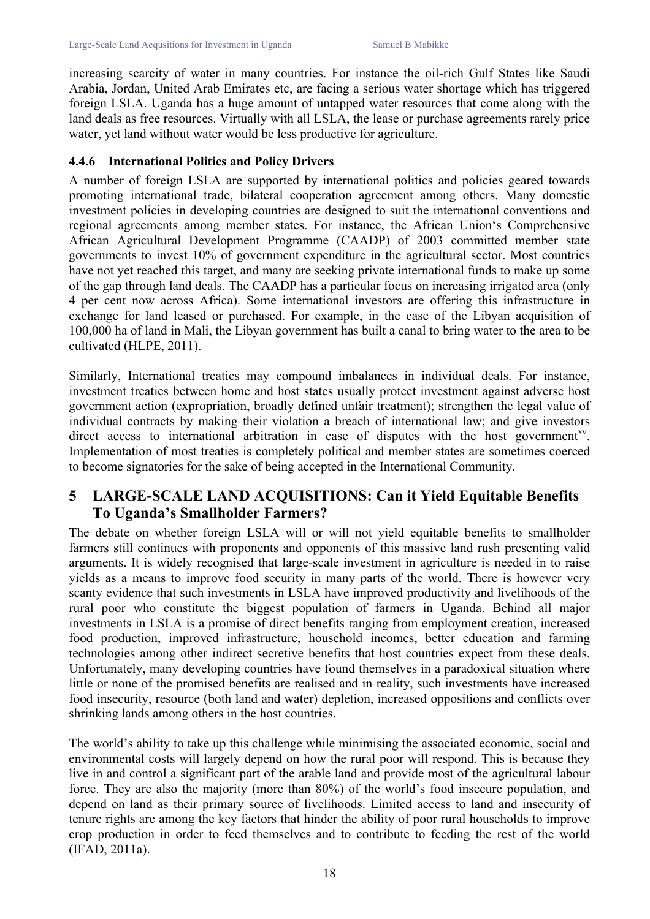increasing scarcity of water in many countries. For instance the oil-rich Gulf States like Saudi Arabia, Jordan, United Arab Emirates etc, are facing a serious water shortage which has triggered foreign LSLA. Uganda has a huge amount of untapped water resources that come along with the land deals as free resources. Virtually with all LSLA, the lease or purchase agreements rarely price water, yet land without water would be less productive for agriculture.

#### **4.4.6 International Politics and Policy Drivers**

A number of foreign LSLA are supported by international politics and policies geared towards promoting international trade, bilateral cooperation agreement among others. Many domestic investment policies in developing countries are designed to suit the international conventions and regional agreements among member states. For instance, the African Union's Comprehensive African Agricultural Development Programme (CAADP) of 2003 committed member state governments to invest 10% of government expenditure in the agricultural sector. Most countries have not yet reached this target, and many are seeking private international funds to make up some of the gap through land deals. The CAADP has a particular focus on increasing irrigated area (only 4 per cent now across Africa). Some international investors are offering this infrastructure in exchange for land leased or purchased. For example, in the case of the Libyan acquisition of 100,000 ha of land in Mali, the Libyan government has built a canal to bring water to the area to be cultivated (HLPE, 2011).

Similarly, International treaties may compound imbalances in individual deals. For instance, investment treaties between home and host states usually protect investment against adverse host government action (expropriation, broadly defined unfair treatment); strengthen the legal value of individual contracts by making their violation a breach of international law; and give investors direct access to international arbitration in case of disputes with the host government<sup>xy</sup>. Implementation of most treaties is completely political and member states are sometimes coerced to become signatories for the sake of being accepted in the International Community.

## **5 LARGE-SCALE LAND ACQUISITIONS: Can it Yield Equitable Benefits To Uganda's Smallholder Farmers?**

The debate on whether foreign LSLA will or will not yield equitable benefits to smallholder farmers still continues with proponents and opponents of this massive land rush presenting valid arguments. It is widely recognised that large-scale investment in agriculture is needed in to raise yields as a means to improve food security in many parts of the world. There is however very scanty evidence that such investments in LSLA have improved productivity and livelihoods of the rural poor who constitute the biggest population of farmers in Uganda. Behind all major investments in LSLA is a promise of direct benefits ranging from employment creation, increased food production, improved infrastructure, household incomes, better education and farming technologies among other indirect secretive benefits that host countries expect from these deals. Unfortunately, many developing countries have found themselves in a paradoxical situation where little or none of the promised benefits are realised and in reality, such investments have increased food insecurity, resource (both land and water) depletion, increased oppositions and conflicts over shrinking lands among others in the host countries.

The world's ability to take up this challenge while minimising the associated economic, social and environmental costs will largely depend on how the rural poor will respond. This is because they live in and control a significant part of the arable land and provide most of the agricultural labour force. They are also the majority (more than 80%) of the world's food insecure population, and depend on land as their primary source of livelihoods. Limited access to land and insecurity of tenure rights are among the key factors that hinder the ability of poor rural households to improve crop production in order to feed themselves and to contribute to feeding the rest of the world (IFAD, 2011a).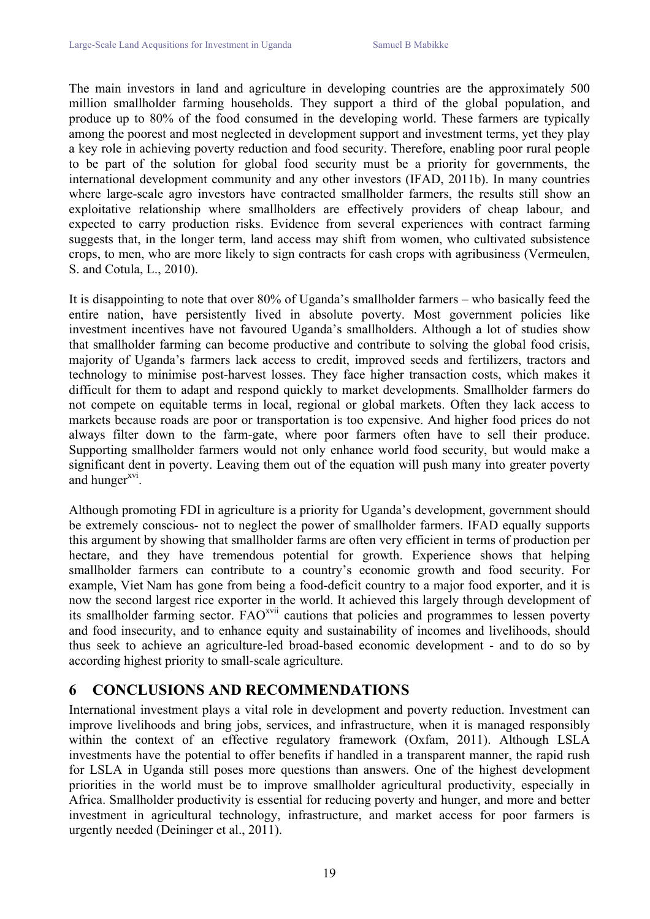The main investors in land and agriculture in developing countries are the approximately 500 million smallholder farming households. They support a third of the global population, and produce up to 80% of the food consumed in the developing world. These farmers are typically among the poorest and most neglected in development support and investment terms, yet they play a key role in achieving poverty reduction and food security. Therefore, enabling poor rural people to be part of the solution for global food security must be a priority for governments, the international development community and any other investors (IFAD, 2011b). In many countries where large-scale agro investors have contracted smallholder farmers, the results still show an exploitative relationship where smallholders are effectively providers of cheap labour, and expected to carry production risks. Evidence from several experiences with contract farming suggests that, in the longer term, land access may shift from women, who cultivated subsistence crops, to men, who are more likely to sign contracts for cash crops with agribusiness (Vermeulen, S. and Cotula, L., 2010).

It is disappointing to note that over 80% of Uganda's smallholder farmers – who basically feed the entire nation, have persistently lived in absolute poverty. Most government policies like investment incentives have not favoured Uganda's smallholders. Although a lot of studies show that smallholder farming can become productive and contribute to solving the global food crisis, majority of Uganda's farmers lack access to credit, improved seeds and fertilizers, tractors and technology to minimise post-harvest losses. They face higher transaction costs, which makes it difficult for them to adapt and respond quickly to market developments. Smallholder farmers do not compete on equitable terms in local, regional or global markets. Often they lack access to markets because roads are poor or transportation is too expensive. And higher food prices do not always filter down to the farm-gate, where poor farmers often have to sell their produce. Supporting smallholder farmers would not only enhance world food security, but would make a significant dent in poverty. Leaving them out of the equation will push many into greater poverty and hunger<sup>xvi</sup>.

Although promoting FDI in agriculture is a priority for Uganda's development, government should be extremely conscious- not to neglect the power of smallholder farmers. IFAD equally supports this argument by showing that smallholder farms are often very efficient in terms of production per hectare, and they have tremendous potential for growth. Experience shows that helping smallholder farmers can contribute to a country's economic growth and food security. For example, Viet Nam has gone from being a food-deficit country to a major food exporter, and it is now the second largest rice exporter in the world. It achieved this largely through development of its smallholder farming sector. FAOxvii cautions that policies and programmes to lessen poverty and food insecurity, and to enhance equity and sustainability of incomes and livelihoods, should thus seek to achieve an agriculture-led broad-based economic development - and to do so by according highest priority to small-scale agriculture.

## **6 CONCLUSIONS AND RECOMMENDATIONS**

International investment plays a vital role in development and poverty reduction. Investment can improve livelihoods and bring jobs, services, and infrastructure, when it is managed responsibly within the context of an effective regulatory framework (Oxfam, 2011). Although LSLA investments have the potential to offer benefits if handled in a transparent manner, the rapid rush for LSLA in Uganda still poses more questions than answers. One of the highest development priorities in the world must be to improve smallholder agricultural productivity, especially in Africa. Smallholder productivity is essential for reducing poverty and hunger, and more and better investment in agricultural technology, infrastructure, and market access for poor farmers is urgently needed (Deininger et al., 2011).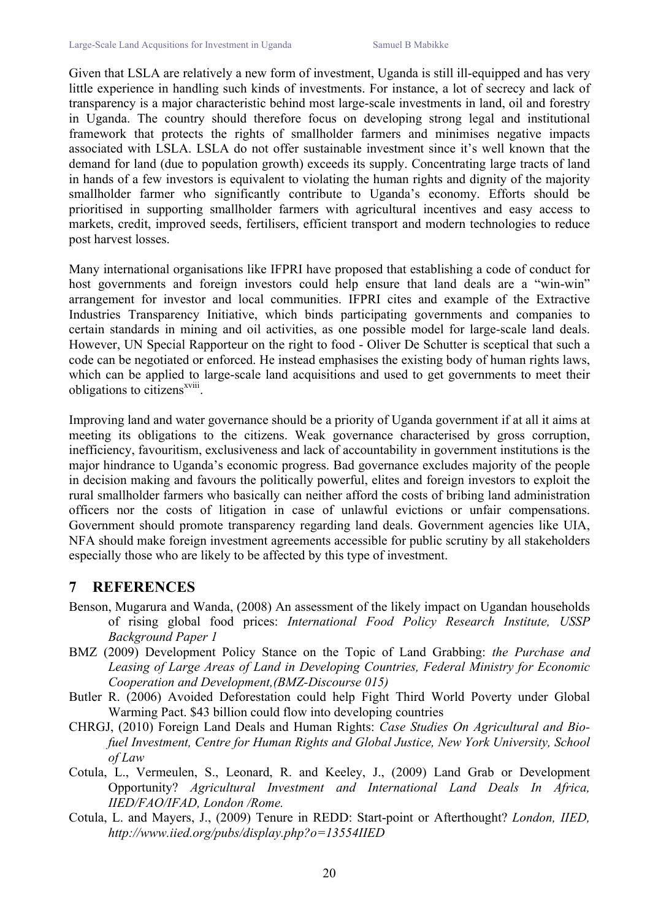Given that LSLA are relatively a new form of investment, Uganda is still ill-equipped and has very little experience in handling such kinds of investments. For instance, a lot of secrecy and lack of transparency is a major characteristic behind most large-scale investments in land, oil and forestry in Uganda. The country should therefore focus on developing strong legal and institutional framework that protects the rights of smallholder farmers and minimises negative impacts associated with LSLA. LSLA do not offer sustainable investment since it's well known that the demand for land (due to population growth) exceeds its supply. Concentrating large tracts of land in hands of a few investors is equivalent to violating the human rights and dignity of the majority smallholder farmer who significantly contribute to Uganda's economy. Efforts should be prioritised in supporting smallholder farmers with agricultural incentives and easy access to markets, credit, improved seeds, fertilisers, efficient transport and modern technologies to reduce post harvest losses.

Many international organisations like IFPRI have proposed that establishing a code of conduct for host governments and foreign investors could help ensure that land deals are a "win-win" arrangement for investor and local communities. IFPRI cites and example of the Extractive Industries Transparency Initiative, which binds participating governments and companies to certain standards in mining and oil activities, as one possible model for large-scale land deals. However, UN Special Rapporteur on the right to food - Oliver De Schutter is sceptical that such a code can be negotiated or enforced. He instead emphasises the existing body of human rights laws, which can be applied to large-scale land acquisitions and used to get governments to meet their obligations to citizens<sup>xviii</sup>.

Improving land and water governance should be a priority of Uganda government if at all it aims at meeting its obligations to the citizens. Weak governance characterised by gross corruption, inefficiency, favouritism, exclusiveness and lack of accountability in government institutions is the major hindrance to Uganda's economic progress. Bad governance excludes majority of the people in decision making and favours the politically powerful, elites and foreign investors to exploit the rural smallholder farmers who basically can neither afford the costs of bribing land administration officers nor the costs of litigation in case of unlawful evictions or unfair compensations. Government should promote transparency regarding land deals. Government agencies like UIA, NFA should make foreign investment agreements accessible for public scrutiny by all stakeholders especially those who are likely to be affected by this type of investment.

## **7 REFERENCES**

- Benson, Mugarura and Wanda, (2008) An assessment of the likely impact on Ugandan households of rising global food prices: *International Food Policy Research Institute, USSP Background Paper 1*
- BMZ (2009) Development Policy Stance on the Topic of Land Grabbing: *the Purchase and Leasing of Large Areas of Land in Developing Countries, Federal Ministry for Economic Cooperation and Development,(BMZ-Discourse 015)*
- Butler R. (2006) Avoided Deforestation could help Fight Third World Poverty under Global Warming Pact. \$43 billion could flow into developing countries
- CHRGJ, (2010) Foreign Land Deals and Human Rights: *Case Studies On Agricultural and Biofuel Investment, Centre for Human Rights and Global Justice, New York University, School of Law*
- Cotula, L., Vermeulen, S., Leonard, R. and Keeley, J., (2009) Land Grab or Development Opportunity? *Agricultural Investment and International Land Deals In Africa, IIED/FAO/IFAD, London /Rome.*
- Cotula, L. and Mayers, J., (2009) Tenure in REDD: Start-point or Afterthought? *London, IIED, http://www.iied.org/pubs/display.php?o=13554IIED*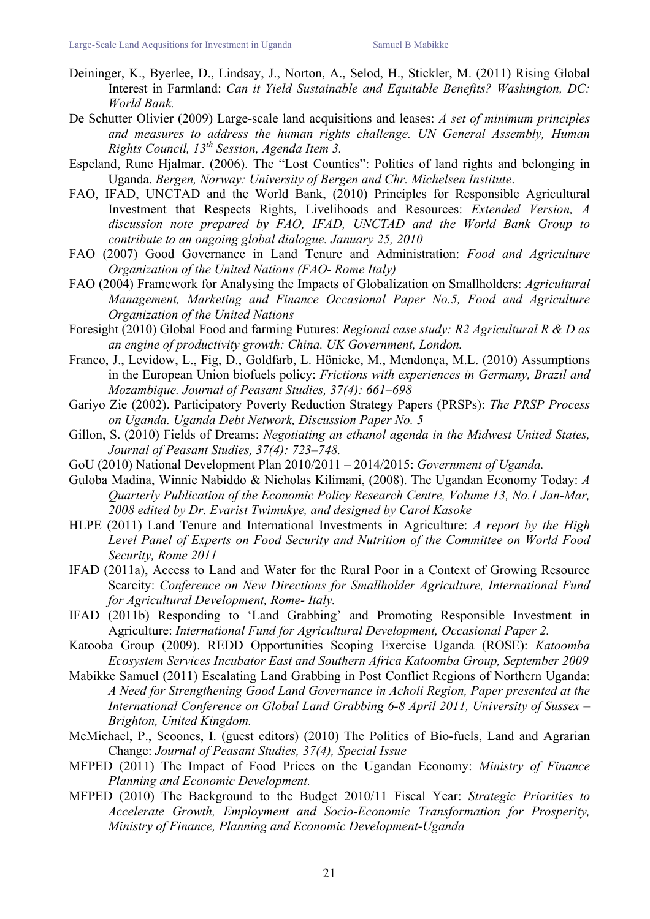- Deininger, K., Byerlee, D., Lindsay, J., Norton, A., Selod, H., Stickler, M. (2011) Rising Global Interest in Farmland: *Can it Yield Sustainable and Equitable Benefits? Washington, DC: World Bank.*
- De Schutter Olivier (2009) Large-scale land acquisitions and leases: *A set of minimum principles and measures to address the human rights challenge. UN General Assembly, Human Rights Council, 13th Session, Agenda Item 3.*
- Espeland, Rune Hjalmar. (2006). The "Lost Counties": Politics of land rights and belonging in Uganda. *Bergen, Norway: University of Bergen and Chr. Michelsen Institute*.
- FAO, IFAD, UNCTAD and the World Bank, (2010) Principles for Responsible Agricultural Investment that Respects Rights, Livelihoods and Resources: *Extended Version, A discussion note prepared by FAO, IFAD, UNCTAD and the World Bank Group to contribute to an ongoing global dialogue. January 25, 2010*
- FAO (2007) Good Governance in Land Tenure and Administration: *Food and Agriculture Organization of the United Nations (FAO- Rome Italy)*
- FAO (2004) Framework for Analysing the Impacts of Globalization on Smallholders: *Agricultural Management, Marketing and Finance Occasional Paper No.5, Food and Agriculture Organization of the United Nations*
- Foresight (2010) Global Food and farming Futures: *Regional case study: R2 Agricultural R & D as an engine of productivity growth: China. UK Government, London.*
- Franco, J., Levidow, L., Fig, D., Goldfarb, L. Hönicke, M., Mendonça, M.L. (2010) Assumptions in the European Union biofuels policy: *Frictions with experiences in Germany, Brazil and Mozambique. Journal of Peasant Studies, 37(4): 661–698*
- Gariyo Zie (2002). Participatory Poverty Reduction Strategy Papers (PRSPs): *The PRSP Process on Uganda. Uganda Debt Network, Discussion Paper No. 5*
- Gillon, S. (2010) Fields of Dreams: *Negotiating an ethanol agenda in the Midwest United States, Journal of Peasant Studies, 37(4): 723–748.*
- GoU (2010) National Development Plan 2010/2011 2014/2015: *Government of Uganda.*
- Guloba Madina, Winnie Nabiddo & Nicholas Kilimani, (2008). The Ugandan Economy Today: *A Quarterly Publication of the Economic Policy Research Centre, Volume 13, No.1 Jan-Mar, 2008 edited by Dr. Evarist Twimukye, and designed by Carol Kasoke*
- HLPE (2011) Land Tenure and International Investments in Agriculture: *A report by the High Level Panel of Experts on Food Security and Nutrition of the Committee on World Food Security, Rome 2011*
- IFAD (2011a), Access to Land and Water for the Rural Poor in a Context of Growing Resource Scarcity: *Conference on New Directions for Smallholder Agriculture, International Fund for Agricultural Development, Rome- Italy.*
- IFAD (2011b) Responding to 'Land Grabbing' and Promoting Responsible Investment in Agriculture: *International Fund for Agricultural Development, Occasional Paper 2.*
- Katooba Group (2009). REDD Opportunities Scoping Exercise Uganda (ROSE): *Katoomba Ecosystem Services Incubator East and Southern Africa Katoomba Group, September 2009*
- Mabikke Samuel (2011) Escalating Land Grabbing in Post Conflict Regions of Northern Uganda: *A Need for Strengthening Good Land Governance in Acholi Region, Paper presented at the International Conference on Global Land Grabbing 6-8 April 2011, University of Sussex – Brighton, United Kingdom.*
- McMichael, P., Scoones, I. (guest editors) (2010) The Politics of Bio-fuels, Land and Agrarian Change: *Journal of Peasant Studies, 37(4), Special Issue*
- MFPED (2011) The Impact of Food Prices on the Ugandan Economy: *Ministry of Finance Planning and Economic Development.*
- MFPED (2010) The Background to the Budget 2010/11 Fiscal Year: *Strategic Priorities to Accelerate Growth, Employment and Socio-Economic Transformation for Prosperity, Ministry of Finance, Planning and Economic Development-Uganda*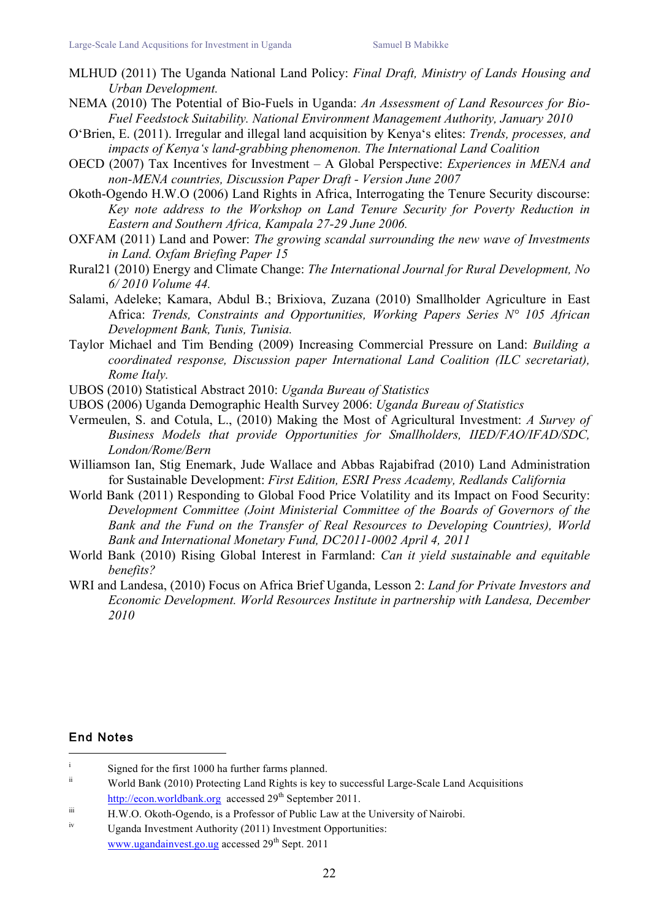- MLHUD (2011) The Uganda National Land Policy: *Final Draft, Ministry of Lands Housing and Urban Development.*
- NEMA (2010) The Potential of Bio-Fuels in Uganda: *An Assessment of Land Resources for Bio-Fuel Feedstock Suitability. National Environment Management Authority, January 2010*
- O'Brien, E. (2011). Irregular and illegal land acquisition by Kenya's elites: *Trends, processes, and impacts of Kenya's land-grabbing phenomenon. The International Land Coalition*
- OECD (2007) Tax Incentives for Investment A Global Perspective: *Experiences in MENA and non-MENA countries, Discussion Paper Draft - Version June 2007*
- Okoth-Ogendo H.W.O (2006) Land Rights in Africa, Interrogating the Tenure Security discourse: *Key note address to the Workshop on Land Tenure Security for Poverty Reduction in Eastern and Southern Africa, Kampala 27-29 June 2006.*
- OXFAM (2011) Land and Power: *The growing scandal surrounding the new wave of Investments in Land. Oxfam Briefing Paper 15*
- Rural21 (2010) Energy and Climate Change: *The International Journal for Rural Development, No 6/ 2010 Volume 44.*
- Salami, Adeleke; Kamara, Abdul B.; Brixiova, Zuzana (2010) Smallholder Agriculture in East Africa: *Trends, Constraints and Opportunities, Working Papers Series N° 105 African Development Bank, Tunis, Tunisia.*
- Taylor Michael and Tim Bending (2009) Increasing Commercial Pressure on Land: *Building a coordinated response, Discussion paper International Land Coalition (ILC secretariat), Rome Italy.*
- UBOS (2010) Statistical Abstract 2010: *Uganda Bureau of Statistics*
- UBOS (2006) Uganda Demographic Health Survey 2006: *Uganda Bureau of Statistics*
- Vermeulen, S. and Cotula, L., (2010) Making the Most of Agricultural Investment: *A Survey of Business Models that provide Opportunities for Smallholders, IIED/FAO/IFAD/SDC, London/Rome/Bern*
- Williamson Ian, Stig Enemark, Jude Wallace and Abbas Rajabifrad (2010) Land Administration for Sustainable Development: *First Edition, ESRI Press Academy, Redlands California*
- World Bank (2011) Responding to Global Food Price Volatility and its Impact on Food Security: *Development Committee (Joint Ministerial Committee of the Boards of Governors of the Bank and the Fund on the Transfer of Real Resources to Developing Countries), World Bank and International Monetary Fund, DC2011-0002 April 4, 2011*
- World Bank (2010) Rising Global Interest in Farmland: *Can it yield sustainable and equitable benefits?*
- WRI and Landesa, (2010) Focus on Africa Brief Uganda, Lesson 2: *Land for Private Investors and Economic Development. World Resources Institute in partnership with Landesa, December 2010*

#### End Notes

<sup>|&</sup>lt;br>i  $\frac{1}{10}$  Signed for the first 1000 ha further farms planned.

World Bank (2010) Protecting Land Rights is key to successful Large-Scale Land Acquisitions http://econ.worldbank.org accessed 29<sup>th</sup> September 2011.

iii H.W.O. Okoth-Ogendo, is a Professor of Public Law at the University of Nairobi.

iv Uganda Investment Authority (2011) Investment Opportunities: www.ugandainvest.go.ug accessed  $29<sup>th</sup>$  Sept. 2011